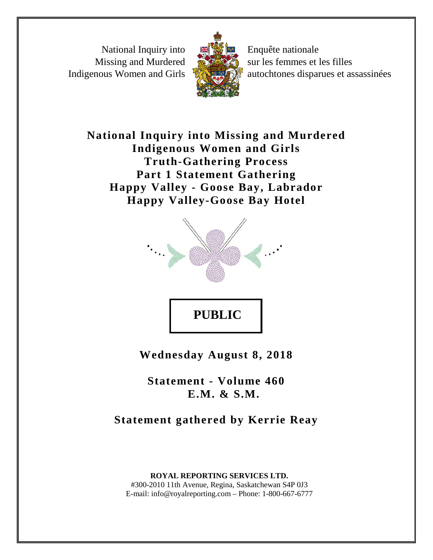National Inquiry into Missing and Murdered Indigenous Women and Girls



Enquête nationale sur les femmes et les filles autochtones disparues et assassinées

**National Inquiry into Missing and Murdered Indigenous Women and Girls Truth-Gathering Process Part 1 Statement Gathering Happy Valley - Goose Bay, Labrador Happy Valley-Goose Bay Hotel**



**Wednesday August 8, 2018**

**Statement - Volume 460 E.M. & S.M.**

**Statement gathered by Kerrie Reay**

**ROYAL REPORTING SERVICES LTD.** #300-2010 11th Avenue, Regina, Saskatchewan S4P 0J3 E-mail: info@royalreporting.com – Phone: 1-800-667-6777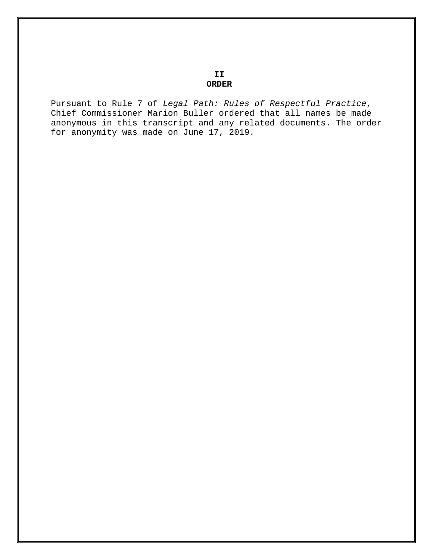**II ORDER**

Pursuant to Rule 7 of *Legal Path: Rules of Respectful Practice*, Chief Commissioner Marion Buller ordered that all names be made anonymous in this transcript and any related documents. The order for anonymity was made on June 17, 2019.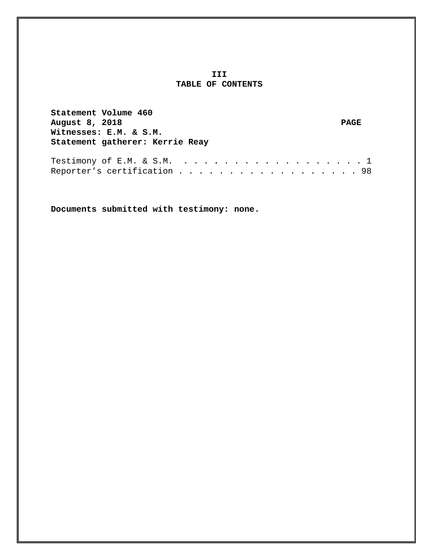## **III TABLE OF CONTENTS**

**Statement Volume 460 August 8, 2018 PAGE Witnesses: E.M. & S.M. Statement gatherer: Kerrie Reay**

Testimony of E.M. & S.M. . . . **.** . . . . . . . . . . . . . . 1 Reporter's certification . . . . . . . . . . . . . . . . . . 98

**Documents submitted with testimony: none.**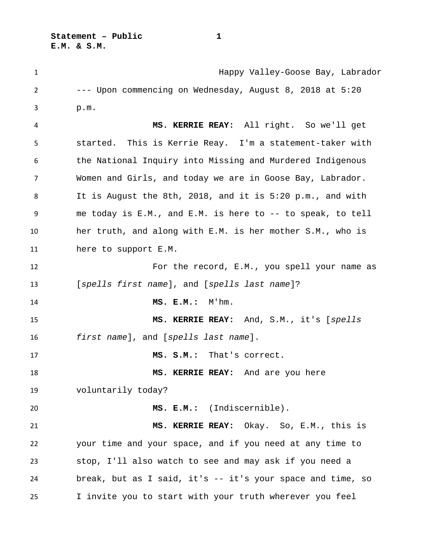**1** Happy Valley-Goose Bay, Labrador --- Upon commencing on Wednesday, August 8, 2018 at 5:20 p.m. **MS. KERRIE REAY:** All right. So we'll get started. This is Kerrie Reay. I'm a statement-taker with the National Inquiry into Missing and Murdered Indigenous Women and Girls, and today we are in Goose Bay, Labrador. It is August the 8th, 2018, and it is 5:20 p.m., and with me today is E.M., and E.M. is here to -- to speak, to tell her truth, and along with E.M. is her mother S.M., who is here to support E.M. For the record, E.M., you spell your name as [*spells first name*], and [*spells last name*]? **MS. E.M.:** M'hm. **MS. KERRIE REAY:** And, S.M., it's [*spells first name*], and [*spells last name*]. **MS. S.M.:** That's correct. **MS. KERRIE REAY:** And are you here voluntarily today? 20 MS. E.M.: (Indiscernible). **MS. KERRIE REAY:** Okay. So, E.M., this is your time and your space, and if you need at any time to stop, I'll also watch to see and may ask if you need a break, but as I said, it's -- it's your space and time, so I invite you to start with your truth wherever you feel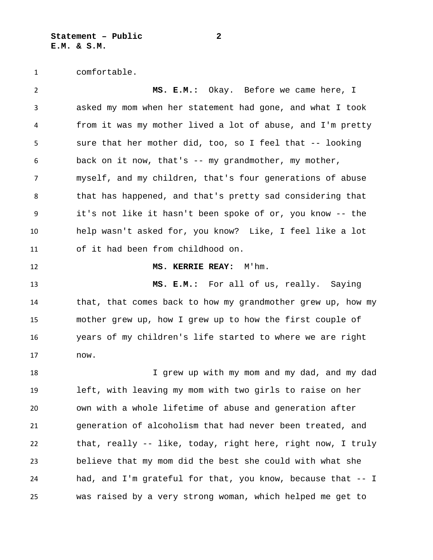**Statement – Public 2 E.M. & S.M.**

comfortable.

 **MS. E.M.:** Okay. Before we came here, I asked my mom when her statement had gone, and what I took from it was my mother lived a lot of abuse, and I'm pretty sure that her mother did, too, so I feel that -- looking back on it now, that's -- my grandmother, my mother, myself, and my children, that's four generations of abuse that has happened, and that's pretty sad considering that it's not like it hasn't been spoke of or, you know -- the help wasn't asked for, you know? Like, I feel like a lot of it had been from childhood on. **MS. KERRIE REAY:** M'hm. **MS. E.M.:** For all of us, really. Saying that, that comes back to how my grandmother grew up, how my mother grew up, how I grew up to how the first couple of years of my children's life started to where we are right now. I grew up with my mom and my dad, and my dad left, with leaving my mom with two girls to raise on her own with a whole lifetime of abuse and generation after generation of alcoholism that had never been treated, and that, really -- like, today, right here, right now, I truly believe that my mom did the best she could with what she had, and I'm grateful for that, you know, because that -- I was raised by a very strong woman, which helped me get to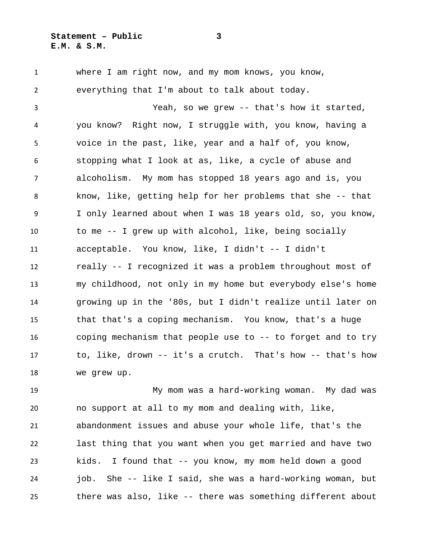where I am right now, and my mom knows, you know, everything that I'm about to talk about today. Yeah, so we grew -- that's how it started, you know? Right now, I struggle with, you know, having a voice in the past, like, year and a half of, you know, stopping what I look at as, like, a cycle of abuse and alcoholism. My mom has stopped 18 years ago and is, you know, like, getting help for her problems that she -- that I only learned about when I was 18 years old, so, you know, to me -- I grew up with alcohol, like, being socially acceptable. You know, like, I didn't -- I didn't really -- I recognized it was a problem throughout most of my childhood, not only in my home but everybody else's home growing up in the '80s, but I didn't realize until later on that that's a coping mechanism. You know, that's a huge coping mechanism that people use to -- to forget and to try to, like, drown -- it's a crutch. That's how -- that's how we grew up.

 My mom was a hard-working woman. My dad was no support at all to my mom and dealing with, like, abandonment issues and abuse your whole life, that's the last thing that you want when you get married and have two kids. I found that -- you know, my mom held down a good job. She -- like I said, she was a hard-working woman, but there was also, like -- there was something different about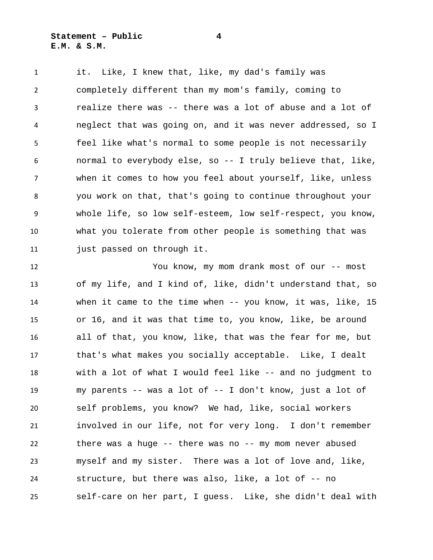**Statement – Public 4 E.M. & S.M.**

 it. Like, I knew that, like, my dad's family was completely different than my mom's family, coming to realize there was -- there was a lot of abuse and a lot of neglect that was going on, and it was never addressed, so I feel like what's normal to some people is not necessarily normal to everybody else, so -- I truly believe that, like, when it comes to how you feel about yourself, like, unless you work on that, that's going to continue throughout your whole life, so low self-esteem, low self-respect, you know, what you tolerate from other people is something that was just passed on through it.

 You know, my mom drank most of our -- most of my life, and I kind of, like, didn't understand that, so when it came to the time when -- you know, it was, like, 15 or 16, and it was that time to, you know, like, be around all of that, you know, like, that was the fear for me, but that's what makes you socially acceptable. Like, I dealt with a lot of what I would feel like -- and no judgment to my parents -- was a lot of -- I don't know, just a lot of self problems, you know? We had, like, social workers involved in our life, not for very long. I don't remember there was a huge -- there was no -- my mom never abused myself and my sister. There was a lot of love and, like, structure, but there was also, like, a lot of -- no self-care on her part, I guess. Like, she didn't deal with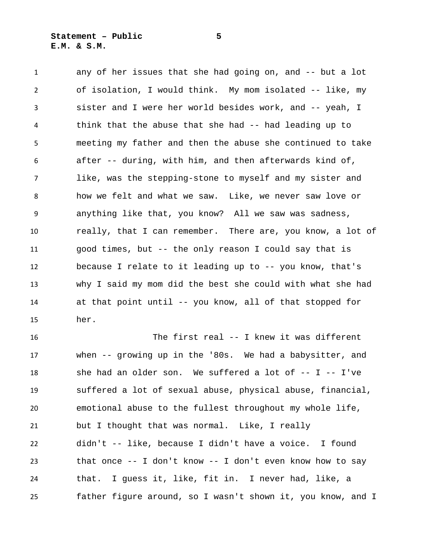any of her issues that she had going on, and -- but a lot of isolation, I would think. My mom isolated -- like, my sister and I were her world besides work, and -- yeah, I think that the abuse that she had -- had leading up to meeting my father and then the abuse she continued to take after -- during, with him, and then afterwards kind of, like, was the stepping-stone to myself and my sister and how we felt and what we saw. Like, we never saw love or anything like that, you know? All we saw was sadness, really, that I can remember. There are, you know, a lot of good times, but -- the only reason I could say that is because I relate to it leading up to -- you know, that's why I said my mom did the best she could with what she had at that point until -- you know, all of that stopped for her.

 The first real -- I knew it was different when -- growing up in the '80s. We had a babysitter, and she had an older son. We suffered a lot of -- I -- I've suffered a lot of sexual abuse, physical abuse, financial, emotional abuse to the fullest throughout my whole life, but I thought that was normal. Like, I really didn't -- like, because I didn't have a voice. I found that once -- I don't know -- I don't even know how to say that. I guess it, like, fit in. I never had, like, a father figure around, so I wasn't shown it, you know, and I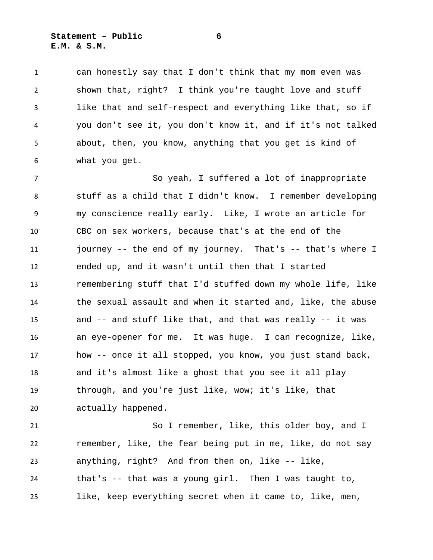## **Statement – Public 6 E.M. & S.M.**

 can honestly say that I don't think that my mom even was shown that, right? I think you're taught love and stuff like that and self-respect and everything like that, so if you don't see it, you don't know it, and if it's not talked about, then, you know, anything that you get is kind of what you get.

 So yeah, I suffered a lot of inappropriate stuff as a child that I didn't know. I remember developing my conscience really early. Like, I wrote an article for CBC on sex workers, because that's at the end of the journey -- the end of my journey. That's -- that's where I ended up, and it wasn't until then that I started remembering stuff that I'd stuffed down my whole life, like the sexual assault and when it started and, like, the abuse and -- and stuff like that, and that was really -- it was an eye-opener for me. It was huge. I can recognize, like, how -- once it all stopped, you know, you just stand back, and it's almost like a ghost that you see it all play through, and you're just like, wow; it's like, that actually happened.

 So I remember, like, this older boy, and I remember, like, the fear being put in me, like, do not say anything, right? And from then on, like -- like, that's -- that was a young girl. Then I was taught to, like, keep everything secret when it came to, like, men,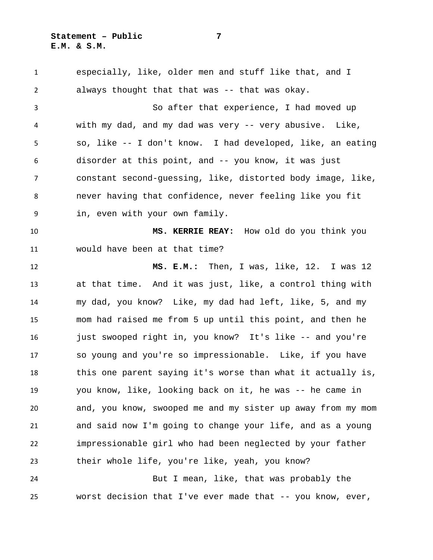especially, like, older men and stuff like that, and I always thought that that was -- that was okay. So after that experience, I had moved up with my dad, and my dad was very -- very abusive. Like, so, like -- I don't know. I had developed, like, an eating disorder at this point, and -- you know, it was just constant second-guessing, like, distorted body image, like, never having that confidence, never feeling like you fit in, even with your own family. **MS. KERRIE REAY:** How old do you think you would have been at that time? **MS. E.M.:** Then, I was, like, 12. I was 12 at that time. And it was just, like, a control thing with my dad, you know? Like, my dad had left, like, 5, and my mom had raised me from 5 up until this point, and then he just swooped right in, you know? It's like -- and you're so young and you're so impressionable. Like, if you have this one parent saying it's worse than what it actually is, you know, like, looking back on it, he was -- he came in and, you know, swooped me and my sister up away from my mom and said now I'm going to change your life, and as a young impressionable girl who had been neglected by your father their whole life, you're like, yeah, you know? But I mean, like, that was probably the worst decision that I've ever made that -- you know, ever,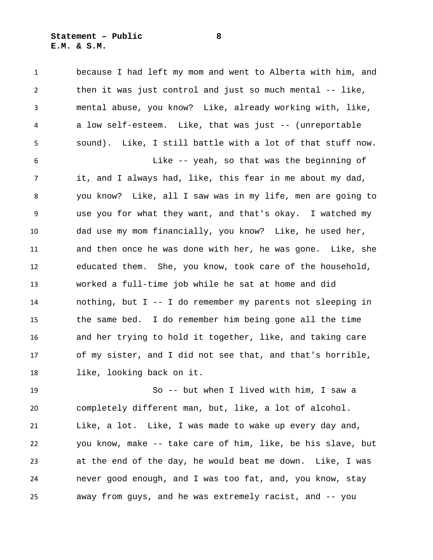## **Statement – Public 8 E.M. & S.M.**

 because I had left my mom and went to Alberta with him, and then it was just control and just so much mental -- like, mental abuse, you know? Like, already working with, like, a low self-esteem. Like, that was just -- (unreportable sound). Like, I still battle with a lot of that stuff now. Like -- yeah, so that was the beginning of it, and I always had, like, this fear in me about my dad, you know? Like, all I saw was in my life, men are going to use you for what they want, and that's okay. I watched my dad use my mom financially, you know? Like, he used her, and then once he was done with her, he was gone. Like, she educated them. She, you know, took care of the household, worked a full-time job while he sat at home and did nothing, but I -- I do remember my parents not sleeping in the same bed. I do remember him being gone all the time and her trying to hold it together, like, and taking care of my sister, and I did not see that, and that's horrible, like, looking back on it.

 So -- but when I lived with him, I saw a completely different man, but, like, a lot of alcohol. Like, a lot. Like, I was made to wake up every day and, you know, make -- take care of him, like, be his slave, but at the end of the day, he would beat me down. Like, I was never good enough, and I was too fat, and, you know, stay away from guys, and he was extremely racist, and -- you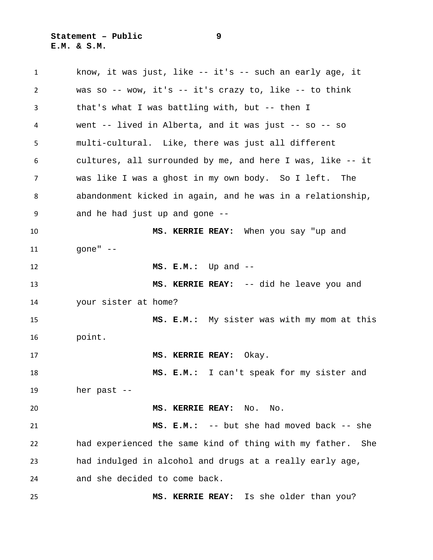know, it was just, like -- it's -- such an early age, it was so -- wow, it's -- it's crazy to, like -- to think that's what I was battling with, but -- then I went -- lived in Alberta, and it was just -- so -- so multi-cultural. Like, there was just all different cultures, all surrounded by me, and here I was, like -- it was like I was a ghost in my own body. So I left. The abandonment kicked in again, and he was in a relationship, and he had just up and gone -- **MS. KERRIE REAY:** When you say "up and gone" -- **MS. E.M.:** Up and -- **MS. KERRIE REAY:** -- did he leave you and your sister at home? **MS. E.M.:** My sister was with my mom at this point. **MS. KERRIE REAY:** Okay. **MS. E.M.:** I can't speak for my sister and her past -- **MS. KERRIE REAY:** No. No. **MS. E.M.:** -- but she had moved back -- she had experienced the same kind of thing with my father. She had indulged in alcohol and drugs at a really early age, and she decided to come back. **MS. KERRIE REAY:** Is she older than you?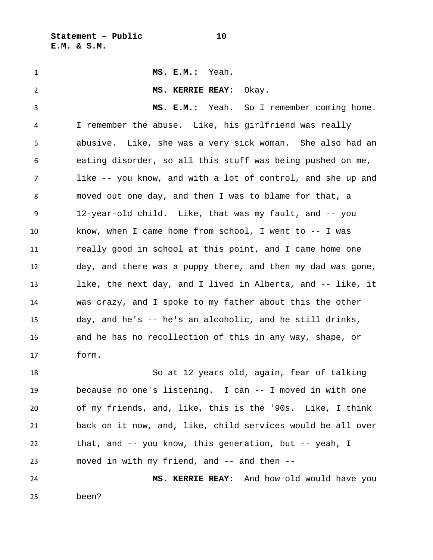**Statement – Public 10 E.M. & S.M.**

 **MS. E.M.:** Yeah. **MS. KERRIE REAY:** Okay. **MS. E.M.:** Yeah. So I remember coming home. I remember the abuse. Like, his girlfriend was really abusive. Like, she was a very sick woman. She also had an eating disorder, so all this stuff was being pushed on me, like -- you know, and with a lot of control, and she up and moved out one day, and then I was to blame for that, a 12-year-old child. Like, that was my fault, and -- you know, when I came home from school, I went to -- I was really good in school at this point, and I came home one day, and there was a puppy there, and then my dad was gone, like, the next day, and I lived in Alberta, and -- like, it was crazy, and I spoke to my father about this the other day, and he's -- he's an alcoholic, and he still drinks, and he has no recollection of this in any way, shape, or form. So at 12 years old, again, fear of talking because no one's listening. I can -- I moved in with one of my friends, and, like, this is the '90s. Like, I think back on it now, and, like, child services would be all over that, and -- you know, this generation, but -- yeah, I

 **MS. KERRIE REAY:** And how old would have you been?

moved in with my friend, and -- and then --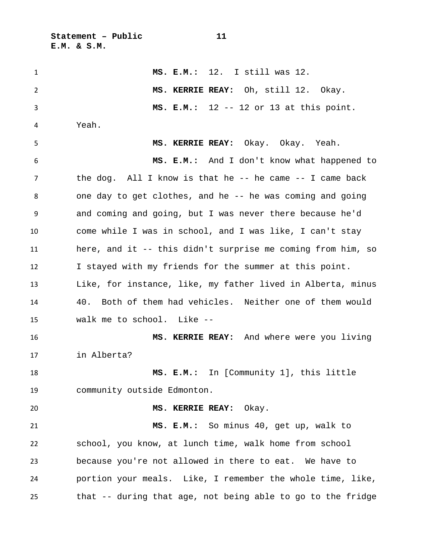**Statement – Public 11 E.M. & S.M.**

 **MS. E.M.:** 12. I still was 12. **MS. KERRIE REAY:** Oh, still 12. Okay. **MS. E.M.:** 12 -- 12 or 13 at this point. Yeah. **MS. KERRIE REAY:** Okay. Okay. Yeah. **MS. E.M.:** And I don't know what happened to the dog. All I know is that he -- he came -- I came back one day to get clothes, and he -- he was coming and going and coming and going, but I was never there because he'd come while I was in school, and I was like, I can't stay here, and it -- this didn't surprise me coming from him, so I stayed with my friends for the summer at this point. Like, for instance, like, my father lived in Alberta, minus 40. Both of them had vehicles. Neither one of them would walk me to school. Like -- **MS. KERRIE REAY:** And where were you living in Alberta? **MS. E.M.:** In [Community 1], this little community outside Edmonton. **MS. KERRIE REAY:** Okay. **MS. E.M.:** So minus 40, get up, walk to school, you know, at lunch time, walk home from school because you're not allowed in there to eat. We have to portion your meals. Like, I remember the whole time, like, that -- during that age, not being able to go to the fridge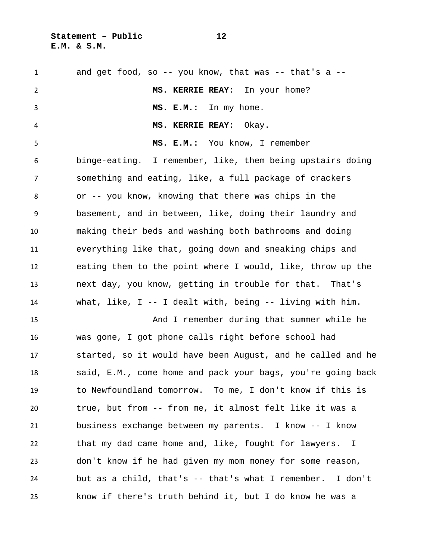**Statement – Public 12 E.M. & S.M.**

 and get food, so -- you know, that was -- that's a -- **MS. KERRIE REAY:** In your home? **MS. E.M.:** In my home. **MS. KERRIE REAY:** Okay. **MS. E.M.:** You know, I remember binge-eating. I remember, like, them being upstairs doing something and eating, like, a full package of crackers or -- you know, knowing that there was chips in the basement, and in between, like, doing their laundry and making their beds and washing both bathrooms and doing everything like that, going down and sneaking chips and eating them to the point where I would, like, throw up the next day, you know, getting in trouble for that. That's what, like, I -- I dealt with, being -- living with him. And I remember during that summer while he was gone, I got phone calls right before school had started, so it would have been August, and he called and he said, E.M., come home and pack your bags, you're going back to Newfoundland tomorrow. To me, I don't know if this is true, but from -- from me, it almost felt like it was a business exchange between my parents. I know -- I know that my dad came home and, like, fought for lawyers. I don't know if he had given my mom money for some reason, but as a child, that's -- that's what I remember. I don't know if there's truth behind it, but I do know he was a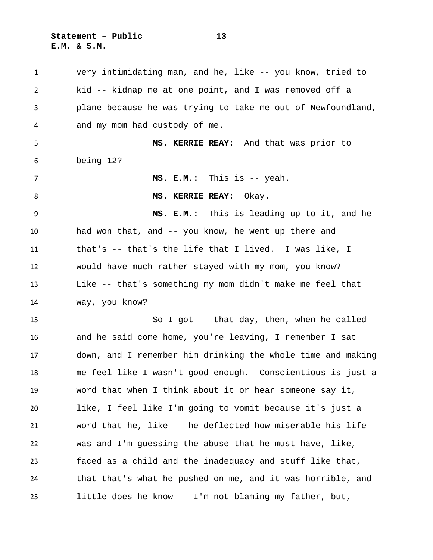**Statement – Public 13 E.M. & S.M.**

 very intimidating man, and he, like -- you know, tried to kid -- kidnap me at one point, and I was removed off a plane because he was trying to take me out of Newfoundland, and my mom had custody of me. **MS. KERRIE REAY:** And that was prior to being 12? **MS. E.M.:** This is -- yeah. 8 MS. KERRIE REAY: Okay. **MS. E.M.:** This is leading up to it, and he had won that, and -- you know, he went up there and that's -- that's the life that I lived. I was like, I would have much rather stayed with my mom, you know? Like -- that's something my mom didn't make me feel that way, you know? So I got -- that day, then, when he called and he said come home, you're leaving, I remember I sat down, and I remember him drinking the whole time and making me feel like I wasn't good enough. Conscientious is just a word that when I think about it or hear someone say it, like, I feel like I'm going to vomit because it's just a word that he, like -- he deflected how miserable his life was and I'm guessing the abuse that he must have, like, faced as a child and the inadequacy and stuff like that, that that's what he pushed on me, and it was horrible, and little does he know -- I'm not blaming my father, but,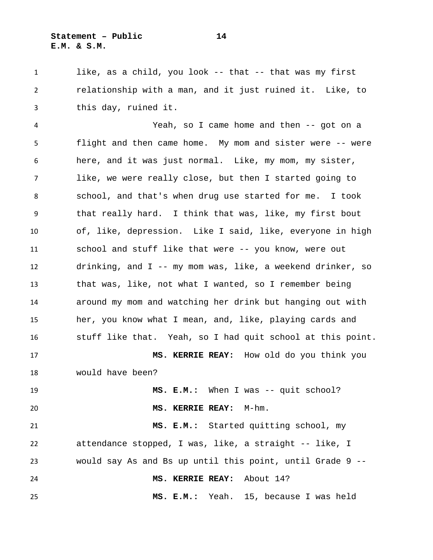1 like, as a child, you look -- that -- that was my first relationship with a man, and it just ruined it. Like, to this day, ruined it.

 Yeah, so I came home and then -- got on a flight and then came home. My mom and sister were -- were here, and it was just normal. Like, my mom, my sister, like, we were really close, but then I started going to school, and that's when drug use started for me. I took that really hard. I think that was, like, my first bout of, like, depression. Like I said, like, everyone in high school and stuff like that were -- you know, were out drinking, and I -- my mom was, like, a weekend drinker, so that was, like, not what I wanted, so I remember being around my mom and watching her drink but hanging out with her, you know what I mean, and, like, playing cards and stuff like that. Yeah, so I had quit school at this point. **MS. KERRIE REAY:** How old do you think you would have been? **MS. E.M.:** When I was -- quit school?

**MS. KERRIE REAY:** M-hm.

 **MS. E.M.:** Started quitting school, my attendance stopped, I was, like, a straight -- like, I would say As and Bs up until this point, until Grade 9 -- **MS. KERRIE REAY:** About 14? **MS. E.M.:** Yeah. 15, because I was held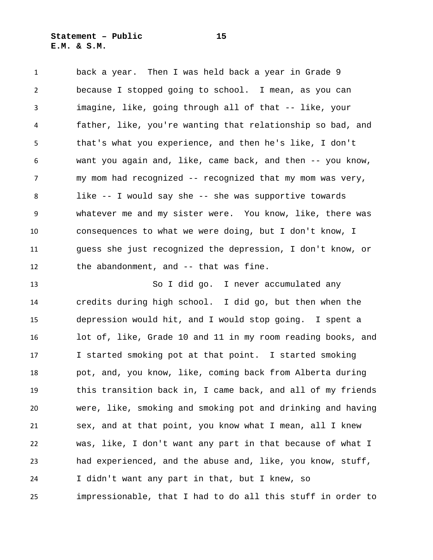back a year. Then I was held back a year in Grade 9 because I stopped going to school. I mean, as you can imagine, like, going through all of that -- like, your father, like, you're wanting that relationship so bad, and that's what you experience, and then he's like, I don't want you again and, like, came back, and then -- you know, my mom had recognized -- recognized that my mom was very, like -- I would say she -- she was supportive towards whatever me and my sister were. You know, like, there was consequences to what we were doing, but I don't know, I guess she just recognized the depression, I don't know, or the abandonment, and -- that was fine.

 So I did go. I never accumulated any credits during high school. I did go, but then when the depression would hit, and I would stop going. I spent a lot of, like, Grade 10 and 11 in my room reading books, and I started smoking pot at that point. I started smoking pot, and, you know, like, coming back from Alberta during this transition back in, I came back, and all of my friends were, like, smoking and smoking pot and drinking and having sex, and at that point, you know what I mean, all I knew was, like, I don't want any part in that because of what I had experienced, and the abuse and, like, you know, stuff, I didn't want any part in that, but I knew, so impressionable, that I had to do all this stuff in order to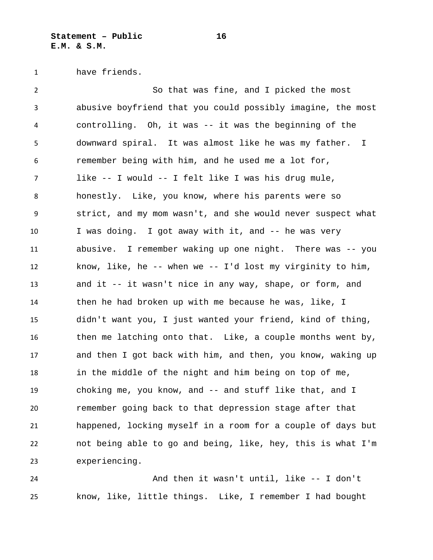have friends.

 So that was fine, and I picked the most abusive boyfriend that you could possibly imagine, the most controlling. Oh, it was -- it was the beginning of the downward spiral. It was almost like he was my father. I remember being with him, and he used me a lot for, like -- I would -- I felt like I was his drug mule, honestly. Like, you know, where his parents were so strict, and my mom wasn't, and she would never suspect what I was doing. I got away with it, and -- he was very abusive. I remember waking up one night. There was -- you know, like, he -- when we -- I'd lost my virginity to him, and it -- it wasn't nice in any way, shape, or form, and then he had broken up with me because he was, like, I didn't want you, I just wanted your friend, kind of thing, then me latching onto that. Like, a couple months went by, and then I got back with him, and then, you know, waking up in the middle of the night and him being on top of me, choking me, you know, and -- and stuff like that, and I remember going back to that depression stage after that happened, locking myself in a room for a couple of days but not being able to go and being, like, hey, this is what I'm experiencing.

 And then it wasn't until, like -- I don't know, like, little things. Like, I remember I had bought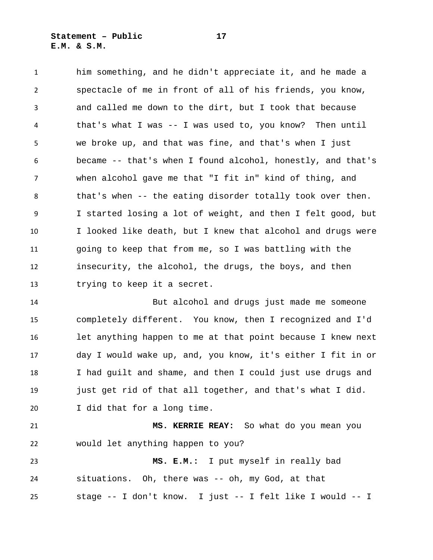him something, and he didn't appreciate it, and he made a spectacle of me in front of all of his friends, you know, and called me down to the dirt, but I took that because that's what I was -- I was used to, you know? Then until we broke up, and that was fine, and that's when I just became -- that's when I found alcohol, honestly, and that's when alcohol gave me that "I fit in" kind of thing, and that's when -- the eating disorder totally took over then. I started losing a lot of weight, and then I felt good, but I looked like death, but I knew that alcohol and drugs were going to keep that from me, so I was battling with the insecurity, the alcohol, the drugs, the boys, and then trying to keep it a secret.

 But alcohol and drugs just made me someone completely different. You know, then I recognized and I'd let anything happen to me at that point because I knew next day I would wake up, and, you know, it's either I fit in or I had guilt and shame, and then I could just use drugs and just get rid of that all together, and that's what I did. I did that for a long time.

 **MS. KERRIE REAY:** So what do you mean you would let anything happen to you?

 **MS. E.M.:** I put myself in really bad situations. Oh, there was -- oh, my God, at that stage -- I don't know. I just -- I felt like I would -- I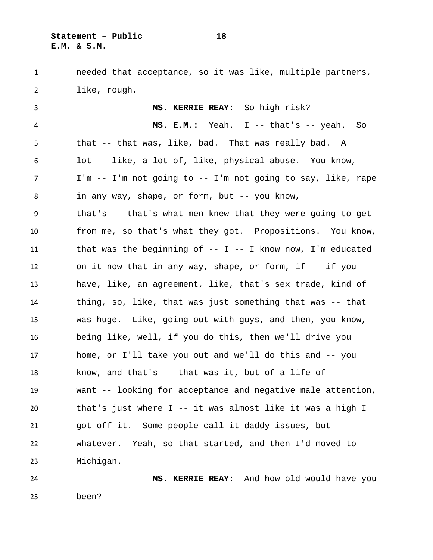**Statement – Public 18 E.M. & S.M.**

 needed that acceptance, so it was like, multiple partners, like, rough. **MS. KERRIE REAY:** So high risk? **MS. E.M.:** Yeah. I -- that's -- yeah. So that -- that was, like, bad. That was really bad. A lot -- like, a lot of, like, physical abuse. You know, I'm -- I'm not going to -- I'm not going to say, like, rape in any way, shape, or form, but -- you know, that's -- that's what men knew that they were going to get from me, so that's what they got. Propositions. You know, that was the beginning of -- I -- I know now, I'm educated on it now that in any way, shape, or form, if -- if you have, like, an agreement, like, that's sex trade, kind of thing, so, like, that was just something that was -- that was huge. Like, going out with guys, and then, you know, being like, well, if you do this, then we'll drive you home, or I'll take you out and we'll do this and -- you

 know, and that's -- that was it, but of a life of want -- looking for acceptance and negative male attention, that's just where I -- it was almost like it was a high I got off it. Some people call it daddy issues, but whatever. Yeah, so that started, and then I'd moved to Michigan.

 **MS. KERRIE REAY:** And how old would have you been?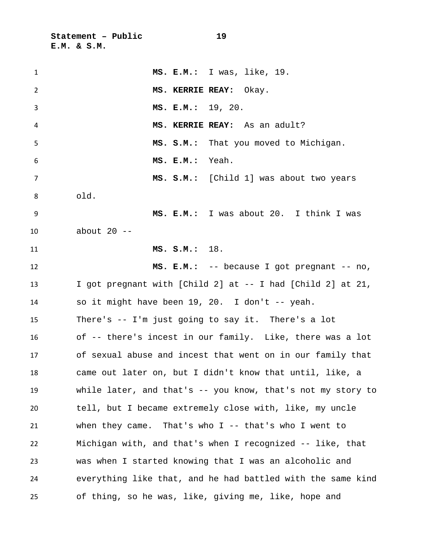**Statement – Public 19 E.M. & S.M.**

| $\mathbf{1}$   | MS. E.M.: I was, like, 19.                                   |
|----------------|--------------------------------------------------------------|
| 2              | MS. KERRIE REAY: Okay.                                       |
| 3              | MS. E.M.: 19, 20.                                            |
| 4              | MS. KERRIE REAY: As an adult?                                |
| 5              | MS. S.M.: That you moved to Michigan.                        |
| 6              | MS. E.M.: Yeah.                                              |
| $\overline{7}$ | MS. S.M.: [Child 1] was about two years                      |
| 8              | old.                                                         |
| 9              | MS. E.M.: I was about 20. I think I was                      |
| 10             | about $20$ --                                                |
| 11             | MS. S.M.: 18.                                                |
| 12             | MS. E.M.: -- because I got pregnant -- no,                   |
| 13             | I got pregnant with [Child 2] at -- I had [Child 2] at 21,   |
| 14             | so it might have been 19, 20. I don't -- yeah.               |
| 15             | There's $-$ I'm just going to say it. There's a lot          |
| 16             | of -- there's incest in our family. Like, there was a lot    |
| 17             | of sexual abuse and incest that went on in our family that   |
| 18             | came out later on, but I didn't know that until, like, a     |
| 19             | while later, and that's $-$ you know, that's not my story to |
| 20             | tell, but I became extremely close with, like, my uncle      |
| 21             | when they came. That's who $I$ -- that's who I went to       |
| 22             | Michigan with, and that's when I recognized -- like, that    |
| 23             | was when I started knowing that I was an alcoholic and       |
| 24             | everything like that, and he had battled with the same kind  |
| 25             | of thing, so he was, like, giving me, like, hope and         |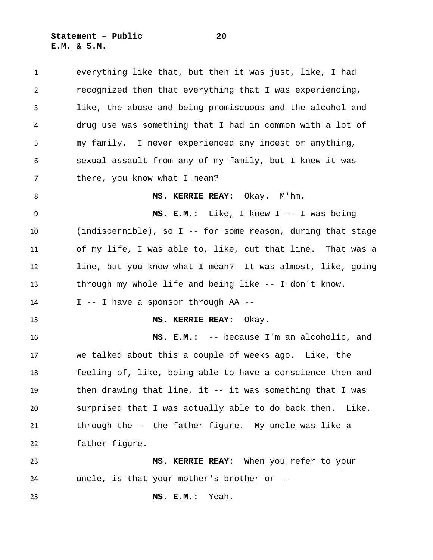**Statement – Public 20 E.M. & S.M.**

 everything like that, but then it was just, like, I had recognized then that everything that I was experiencing, like, the abuse and being promiscuous and the alcohol and drug use was something that I had in common with a lot of my family. I never experienced any incest or anything, sexual assault from any of my family, but I knew it was 7 there, you know what I mean? **MS. KERRIE REAY:** Okay. M'hm. **MS. E.M.:** Like, I knew I -- I was being (indiscernible), so I -- for some reason, during that stage of my life, I was able to, like, cut that line. That was a line, but you know what I mean? It was almost, like, going through my whole life and being like -- I don't know. I -- I have a sponsor through AA -- **MS. KERRIE REAY:** Okay. **MS. E.M.:** -- because I'm an alcoholic, and we talked about this a couple of weeks ago. Like, the feeling of, like, being able to have a conscience then and then drawing that line, it -- it was something that I was surprised that I was actually able to do back then. Like, through the -- the father figure. My uncle was like a father figure. **MS. KERRIE REAY:** When you refer to your uncle, is that your mother's brother or -- **MS. E.M.:** Yeah.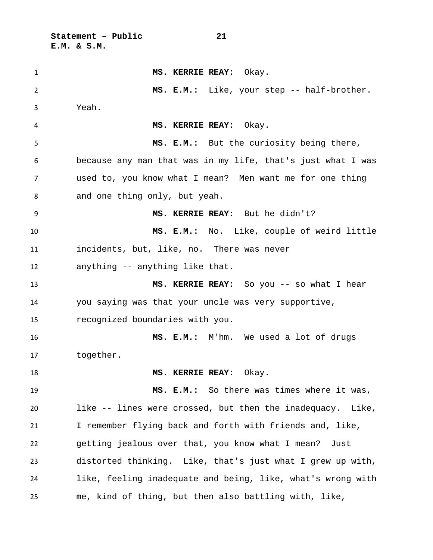**Statement – Public 21 E.M. & S.M.**

 **MS. KERRIE REAY:** Okay. **MS. E.M.:** Like, your step -- half-brother. Yeah. **MS. KERRIE REAY:** Okay. **MS. E.M.:** But the curiosity being there, because any man that was in my life, that's just what I was used to, you know what I mean? Men want me for one thing and one thing only, but yeah. **MS. KERRIE REAY:** But he didn't? **MS. E.M.:** No. Like, couple of weird little incidents, but, like, no. There was never anything -- anything like that. **MS. KERRIE REAY:** So you -- so what I hear you saying was that your uncle was very supportive, recognized boundaries with you. **MS. E.M.:** M'hm. We used a lot of drugs together. 18 MS. KERRIE REAY: Okay. **MS. E.M.:** So there was times where it was, like -- lines were crossed, but then the inadequacy. Like, I remember flying back and forth with friends and, like, getting jealous over that, you know what I mean? Just distorted thinking. Like, that's just what I grew up with, like, feeling inadequate and being, like, what's wrong with me, kind of thing, but then also battling with, like,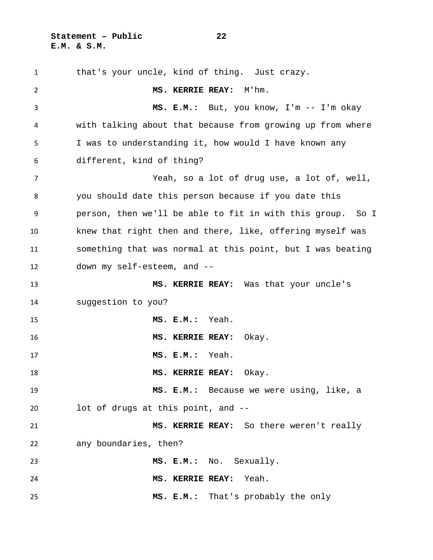**Statement – Public 22 E.M. & S.M.**

 that's your uncle, kind of thing. Just crazy. **MS. KERRIE REAY:** M'hm. **MS. E.M.:** But, you know, I'm -- I'm okay with talking about that because from growing up from where I was to understanding it, how would I have known any different, kind of thing? Yeah, so a lot of drug use, a lot of, well, you should date this person because if you date this person, then we'll be able to fit in with this group. So I knew that right then and there, like, offering myself was something that was normal at this point, but I was beating down my self-esteem, and -- **MS. KERRIE REAY:** Was that your uncle's suggestion to you? **MS. E.M.:** Yeah. **MS. KERRIE REAY:** Okay. **MS. E.M.:** Yeah. **MS. KERRIE REAY:** Okay. **MS. E.M.:** Because we were using, like, a lot of drugs at this point, and -- **MS. KERRIE REAY:** So there weren't really any boundaries, then? **MS. E.M.:** No. Sexually. **MS. KERRIE REAY:** Yeah. **MS. E.M.:** That's probably the only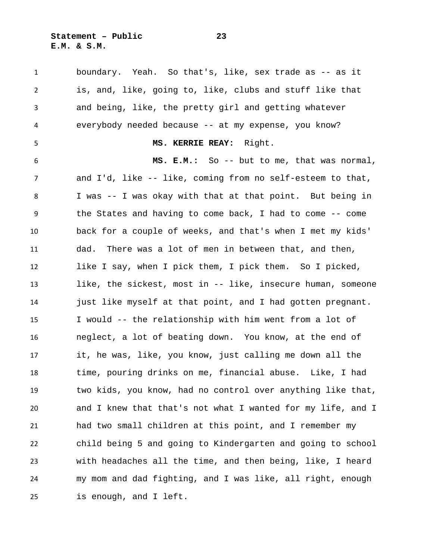**Statement – Public 23 E.M. & S.M.**

 boundary. Yeah. So that's, like, sex trade as -- as it is, and, like, going to, like, clubs and stuff like that and being, like, the pretty girl and getting whatever everybody needed because -- at my expense, you know? **MS. KERRIE REAY:** Right. **MS. E.M.:** So -- but to me, that was normal, and I'd, like -- like, coming from no self-esteem to that, I was -- I was okay with that at that point. But being in the States and having to come back, I had to come -- come back for a couple of weeks, and that's when I met my kids' dad. There was a lot of men in between that, and then, like I say, when I pick them, I pick them. So I picked, like, the sickest, most in -- like, insecure human, someone just like myself at that point, and I had gotten pregnant. I would -- the relationship with him went from a lot of neglect, a lot of beating down. You know, at the end of it, he was, like, you know, just calling me down all the time, pouring drinks on me, financial abuse. Like, I had two kids, you know, had no control over anything like that, and I knew that that's not what I wanted for my life, and I had two small children at this point, and I remember my child being 5 and going to Kindergarten and going to school with headaches all the time, and then being, like, I heard my mom and dad fighting, and I was like, all right, enough is enough, and I left.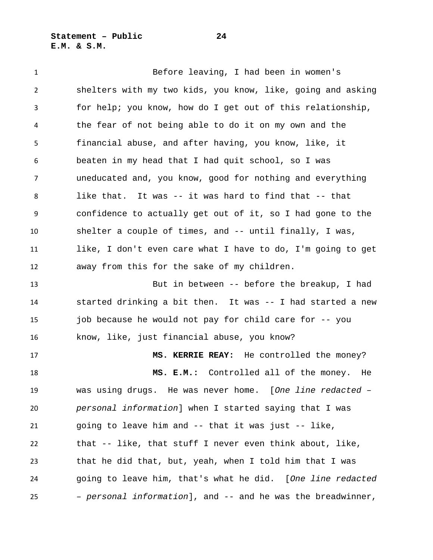**Statement – Public 24 E.M. & S.M.**

 Before leaving, I had been in women's shelters with my two kids, you know, like, going and asking for help; you know, how do I get out of this relationship, the fear of not being able to do it on my own and the financial abuse, and after having, you know, like, it beaten in my head that I had quit school, so I was uneducated and, you know, good for nothing and everything like that. It was -- it was hard to find that -- that confidence to actually get out of it, so I had gone to the shelter a couple of times, and -- until finally, I was, like, I don't even care what I have to do, I'm going to get away from this for the sake of my children. But in between -- before the breakup, I had started drinking a bit then. It was -- I had started a new job because he would not pay for child care for -- you know, like, just financial abuse, you know? **MS. KERRIE REAY:** He controlled the money? **MS. E.M.:** Controlled all of the money. He was using drugs. He was never home. [*One line redacted – personal information*] when I started saying that I was going to leave him and -- that it was just -- like, that -- like, that stuff I never even think about, like, that he did that, but, yeah, when I told him that I was going to leave him, that's what he did. [*One line redacted – personal information*], and -- and he was the breadwinner,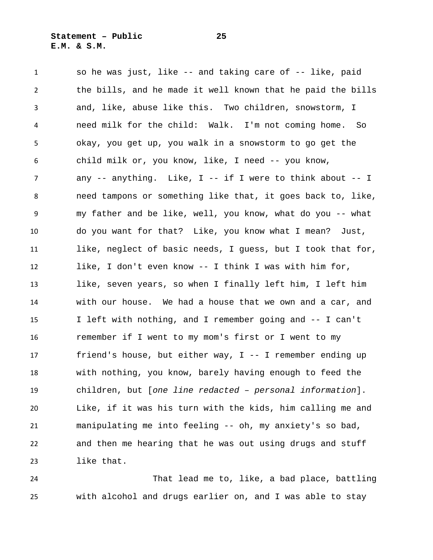so he was just, like -- and taking care of -- like, paid the bills, and he made it well known that he paid the bills and, like, abuse like this. Two children, snowstorm, I need milk for the child: Walk. I'm not coming home. So okay, you get up, you walk in a snowstorm to go get the child milk or, you know, like, I need -- you know, any -- anything. Like, I -- if I were to think about -- I need tampons or something like that, it goes back to, like, my father and be like, well, you know, what do you -- what do you want for that? Like, you know what I mean? Just, like, neglect of basic needs, I guess, but I took that for, like, I don't even know -- I think I was with him for, like, seven years, so when I finally left him, I left him with our house. We had a house that we own and a car, and I left with nothing, and I remember going and -- I can't remember if I went to my mom's first or I went to my friend's house, but either way, I -- I remember ending up with nothing, you know, barely having enough to feed the children, but [*one line redacted – personal information*]. Like, if it was his turn with the kids, him calling me and manipulating me into feeling -- oh, my anxiety's so bad, and then me hearing that he was out using drugs and stuff like that.

 That lead me to, like, a bad place, battling with alcohol and drugs earlier on, and I was able to stay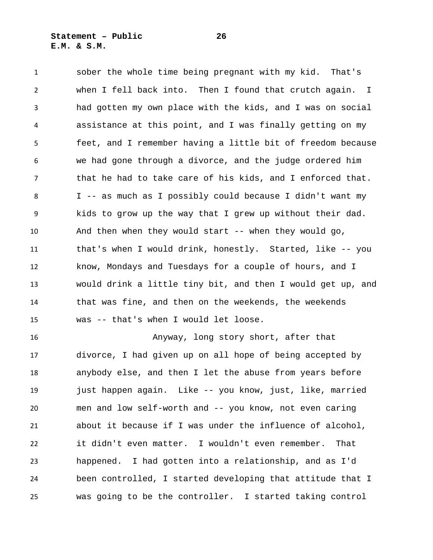sober the whole time being pregnant with my kid. That's when I fell back into. Then I found that crutch again. I had gotten my own place with the kids, and I was on social assistance at this point, and I was finally getting on my feet, and I remember having a little bit of freedom because we had gone through a divorce, and the judge ordered him that he had to take care of his kids, and I enforced that. I -- as much as I possibly could because I didn't want my kids to grow up the way that I grew up without their dad. And then when they would start -- when they would go, that's when I would drink, honestly. Started, like -- you know, Mondays and Tuesdays for a couple of hours, and I would drink a little tiny bit, and then I would get up, and that was fine, and then on the weekends, the weekends was -- that's when I would let loose.

 Anyway, long story short, after that divorce, I had given up on all hope of being accepted by anybody else, and then I let the abuse from years before just happen again. Like -- you know, just, like, married men and low self-worth and -- you know, not even caring about it because if I was under the influence of alcohol, it didn't even matter. I wouldn't even remember. That happened. I had gotten into a relationship, and as I'd been controlled, I started developing that attitude that I was going to be the controller. I started taking control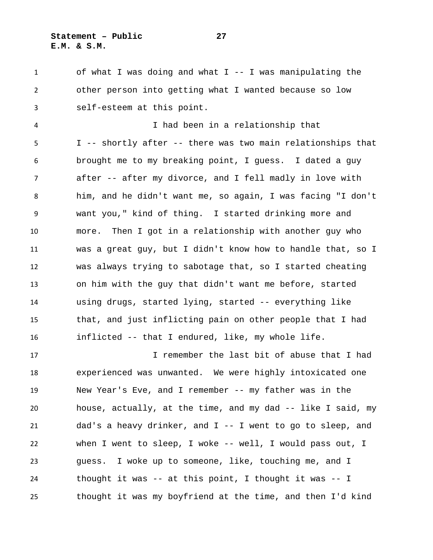## **Statement – Public 27 E.M. & S.M.**

 of what I was doing and what I -- I was manipulating the other person into getting what I wanted because so low self-esteem at this point.

 I had been in a relationship that I -- shortly after -- there was two main relationships that brought me to my breaking point, I guess. I dated a guy after -- after my divorce, and I fell madly in love with him, and he didn't want me, so again, I was facing "I don't want you," kind of thing. I started drinking more and more. Then I got in a relationship with another guy who was a great guy, but I didn't know how to handle that, so I was always trying to sabotage that, so I started cheating on him with the guy that didn't want me before, started using drugs, started lying, started -- everything like that, and just inflicting pain on other people that I had inflicted -- that I endured, like, my whole life.

 I remember the last bit of abuse that I had experienced was unwanted. We were highly intoxicated one New Year's Eve, and I remember -- my father was in the house, actually, at the time, and my dad -- like I said, my dad's a heavy drinker, and I -- I went to go to sleep, and when I went to sleep, I woke -- well, I would pass out, I guess. I woke up to someone, like, touching me, and I thought it was -- at this point, I thought it was -- I thought it was my boyfriend at the time, and then I'd kind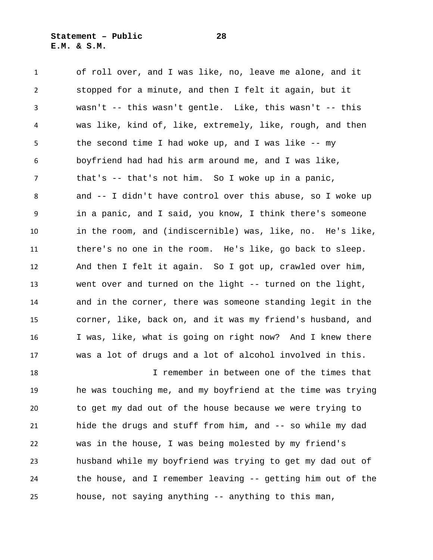**Statement – Public 28 E.M. & S.M.**

 of roll over, and I was like, no, leave me alone, and it stopped for a minute, and then I felt it again, but it wasn't -- this wasn't gentle. Like, this wasn't -- this was like, kind of, like, extremely, like, rough, and then the second time I had woke up, and I was like -- my boyfriend had had his arm around me, and I was like, that's -- that's not him. So I woke up in a panic, and -- I didn't have control over this abuse, so I woke up in a panic, and I said, you know, I think there's someone in the room, and (indiscernible) was, like, no. He's like, there's no one in the room. He's like, go back to sleep. And then I felt it again. So I got up, crawled over him, went over and turned on the light -- turned on the light, and in the corner, there was someone standing legit in the corner, like, back on, and it was my friend's husband, and I was, like, what is going on right now? And I knew there was a lot of drugs and a lot of alcohol involved in this. I remember in between one of the times that

 he was touching me, and my boyfriend at the time was trying to get my dad out of the house because we were trying to hide the drugs and stuff from him, and -- so while my dad was in the house, I was being molested by my friend's husband while my boyfriend was trying to get my dad out of the house, and I remember leaving -- getting him out of the house, not saying anything -- anything to this man,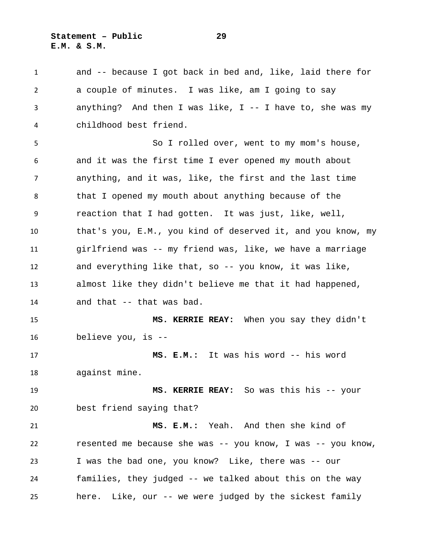**Statement – Public 29 E.M. & S.M.**

 and -- because I got back in bed and, like, laid there for a couple of minutes. I was like, am I going to say anything? And then I was like, I -- I have to, she was my childhood best friend.

 So I rolled over, went to my mom's house, and it was the first time I ever opened my mouth about anything, and it was, like, the first and the last time that I opened my mouth about anything because of the reaction that I had gotten. It was just, like, well, that's you, E.M., you kind of deserved it, and you know, my girlfriend was -- my friend was, like, we have a marriage and everything like that, so -- you know, it was like, almost like they didn't believe me that it had happened, and that -- that was bad.

 **MS. KERRIE REAY:** When you say they didn't believe you, is --

 **MS. E.M.:** It was his word -- his word against mine.

 **MS. KERRIE REAY:** So was this his -- your best friend saying that?

 **MS. E.M.:** Yeah. And then she kind of resented me because she was -- you know, I was -- you know, I was the bad one, you know? Like, there was -- our families, they judged -- we talked about this on the way here. Like, our -- we were judged by the sickest family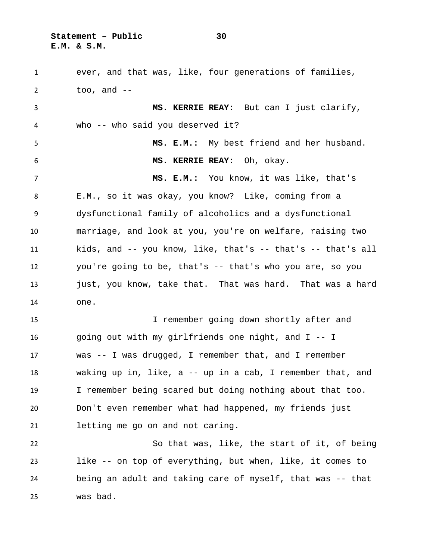**Statement – Public 30 E.M. & S.M.**

 ever, and that was, like, four generations of families, too, and -- **MS. KERRIE REAY:** But can I just clarify, who -- who said you deserved it? **MS. E.M.:** My best friend and her husband. **MS. KERRIE REAY:** Oh, okay. **MS. E.M.:** You know, it was like, that's E.M., so it was okay, you know? Like, coming from a dysfunctional family of alcoholics and a dysfunctional marriage, and look at you, you're on welfare, raising two kids, and -- you know, like, that's -- that's -- that's all you're going to be, that's -- that's who you are, so you 13 just, you know, take that. That was hard. That was a hard one. I remember going down shortly after and going out with my girlfriends one night, and I -- I was -- I was drugged, I remember that, and I remember waking up in, like, a -- up in a cab, I remember that, and I remember being scared but doing nothing about that too. Don't even remember what had happened, my friends just letting me go on and not caring. So that was, like, the start of it, of being like -- on top of everything, but when, like, it comes to being an adult and taking care of myself, that was -- that was bad.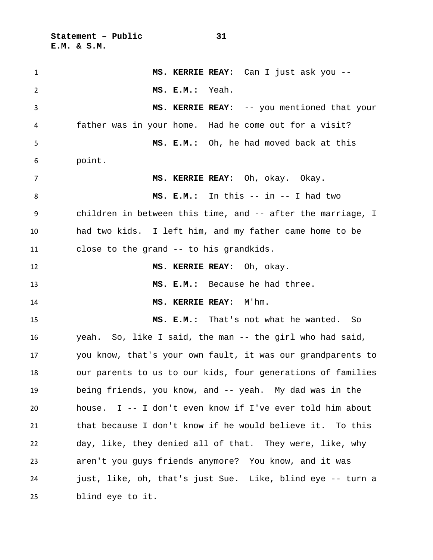**Statement – Public 31 E.M. & S.M.**

 **MS. KERRIE REAY:** Can I just ask you -- **MS. E.M.:** Yeah. **MS. KERRIE REAY:** -- you mentioned that your father was in your home. Had he come out for a visit? **MS. E.M.:** Oh, he had moved back at this point. **MS. KERRIE REAY:** Oh, okay. Okay. **MS. E.M.:** In this -- in -- I had two children in between this time, and -- after the marriage, I had two kids. I left him, and my father came home to be close to the grand -- to his grandkids. **MS. KERRIE REAY:** Oh, okay. **MS. E.M.:** Because he had three. **MS. KERRIE REAY:** M'hm. **MS. E.M.:** That's not what he wanted. So yeah. So, like I said, the man -- the girl who had said, you know, that's your own fault, it was our grandparents to our parents to us to our kids, four generations of families being friends, you know, and -- yeah. My dad was in the house. I -- I don't even know if I've ever told him about that because I don't know if he would believe it. To this day, like, they denied all of that. They were, like, why aren't you guys friends anymore? You know, and it was just, like, oh, that's just Sue. Like, blind eye -- turn a blind eye to it.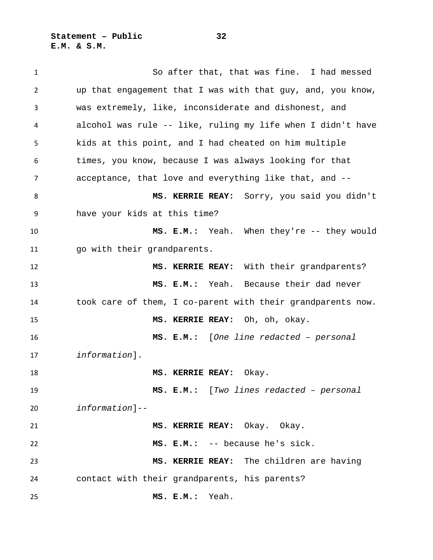**Statement – Public 32 E.M. & S.M.**

 So after that, that was fine. I had messed up that engagement that I was with that guy, and, you know, was extremely, like, inconsiderate and dishonest, and alcohol was rule -- like, ruling my life when I didn't have kids at this point, and I had cheated on him multiple times, you know, because I was always looking for that acceptance, that love and everything like that, and -- **MS. KERRIE REAY:** Sorry, you said you didn't have your kids at this time? **MS. E.M.:** Yeah. When they're -- they would go with their grandparents. **MS. KERRIE REAY:** With their grandparents? **MS. E.M.:** Yeah. Because their dad never took care of them, I co-parent with their grandparents now. **MS. KERRIE REAY:** Oh, oh, okay. **MS. E.M.:** [*One line redacted – personal information*]. **MS. KERRIE REAY:** Okay. **MS. E.M.:** [*Two lines redacted – personal information*]-- **MS. KERRIE REAY:** Okay. Okay. **MS. E.M.:** -- because he's sick. **MS. KERRIE REAY:** The children are having contact with their grandparents, his parents? **MS. E.M.:** Yeah.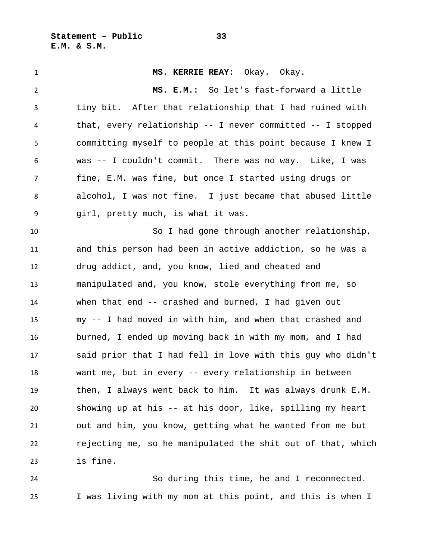**Statement – Public 33 E.M. & S.M.**

 **MS. KERRIE REAY:** Okay. Okay. **MS. E.M.:** So let's fast-forward a little tiny bit. After that relationship that I had ruined with that, every relationship -- I never committed -- I stopped committing myself to people at this point because I knew I was -- I couldn't commit. There was no way. Like, I was fine, E.M. was fine, but once I started using drugs or alcohol, I was not fine. I just became that abused little girl, pretty much, is what it was. So I had gone through another relationship, and this person had been in active addiction, so he was a drug addict, and, you know, lied and cheated and manipulated and, you know, stole everything from me, so when that end -- crashed and burned, I had given out my -- I had moved in with him, and when that crashed and burned, I ended up moving back in with my mom, and I had said prior that I had fell in love with this guy who didn't want me, but in every -- every relationship in between then, I always went back to him. It was always drunk E.M. showing up at his -- at his door, like, spilling my heart out and him, you know, getting what he wanted from me but rejecting me, so he manipulated the shit out of that, which is fine.

 So during this time, he and I reconnected. I was living with my mom at this point, and this is when I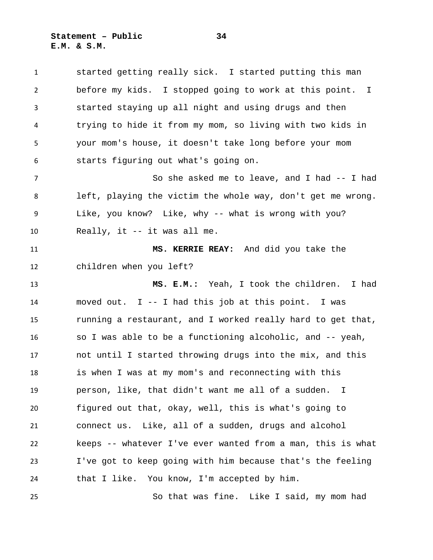**Statement – Public 34 E.M. & S.M.**

 started getting really sick. I started putting this man before my kids. I stopped going to work at this point. I started staying up all night and using drugs and then trying to hide it from my mom, so living with two kids in your mom's house, it doesn't take long before your mom starts figuring out what's going on. So she asked me to leave, and I had -- I had left, playing the victim the whole way, don't get me wrong. Like, you know? Like, why -- what is wrong with you? Really, it -- it was all me. **MS. KERRIE REAY:** And did you take the children when you left? **MS. E.M.:** Yeah, I took the children. I had moved out. I -- I had this job at this point. I was running a restaurant, and I worked really hard to get that, so I was able to be a functioning alcoholic, and -- yeah, not until I started throwing drugs into the mix, and this is when I was at my mom's and reconnecting with this person, like, that didn't want me all of a sudden. I figured out that, okay, well, this is what's going to connect us. Like, all of a sudden, drugs and alcohol keeps -- whatever I've ever wanted from a man, this is what I've got to keep going with him because that's the feeling that I like. You know, I'm accepted by him. So that was fine. Like I said, my mom had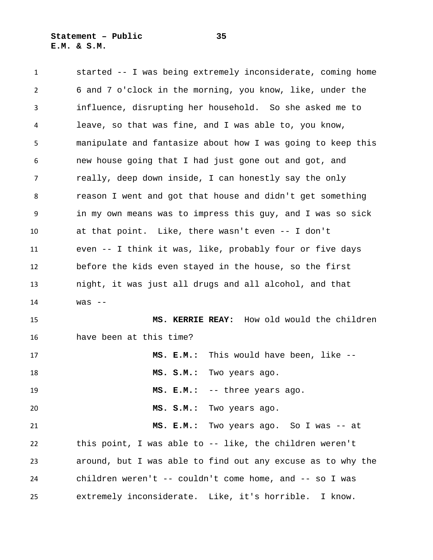started -- I was being extremely inconsiderate, coming home 6 and 7 o'clock in the morning, you know, like, under the influence, disrupting her household. So she asked me to leave, so that was fine, and I was able to, you know, manipulate and fantasize about how I was going to keep this new house going that I had just gone out and got, and really, deep down inside, I can honestly say the only reason I went and got that house and didn't get something in my own means was to impress this guy, and I was so sick at that point. Like, there wasn't even -- I don't even -- I think it was, like, probably four or five days before the kids even stayed in the house, so the first night, it was just all drugs and all alcohol, and that was -- **MS. KERRIE REAY:** How old would the children have been at this time? **MS. E.M.:** This would have been, like -- **MS. S.M.:** Two years ago. **MS. E.M.:** -- three years ago. **MS. S.M.:** Two years ago. **MS. E.M.:** Two years ago. So I was -- at this point, I was able to -- like, the children weren't around, but I was able to find out any excuse as to why the children weren't -- couldn't come home, and -- so I was extremely inconsiderate. Like, it's horrible. I know.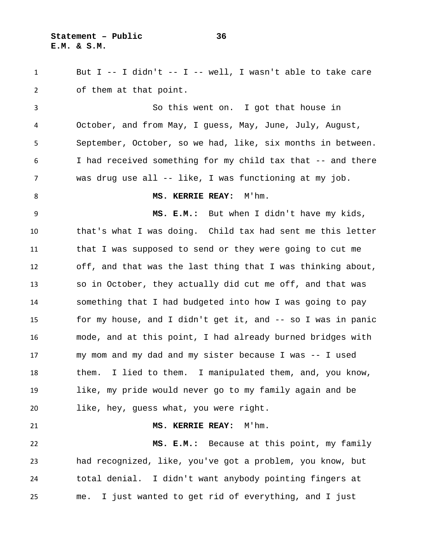**Statement – Public 36 E.M. & S.M.**

 But I -- I didn't -- I -- well, I wasn't able to take care of them at that point.

 So this went on. I got that house in October, and from May, I guess, May, June, July, August, September, October, so we had, like, six months in between. I had received something for my child tax that -- and there was drug use all -- like, I was functioning at my job.

8 MS. KERRIE REAY: M'hm.

 **MS. E.M.:** But when I didn't have my kids, that's what I was doing. Child tax had sent me this letter that I was supposed to send or they were going to cut me off, and that was the last thing that I was thinking about, so in October, they actually did cut me off, and that was something that I had budgeted into how I was going to pay for my house, and I didn't get it, and -- so I was in panic mode, and at this point, I had already burned bridges with my mom and my dad and my sister because I was -- I used them. I lied to them. I manipulated them, and, you know, like, my pride would never go to my family again and be like, hey, guess what, you were right.

**MS. KERRIE REAY:** M'hm.

 **MS. E.M.:** Because at this point, my family had recognized, like, you've got a problem, you know, but total denial. I didn't want anybody pointing fingers at me. I just wanted to get rid of everything, and I just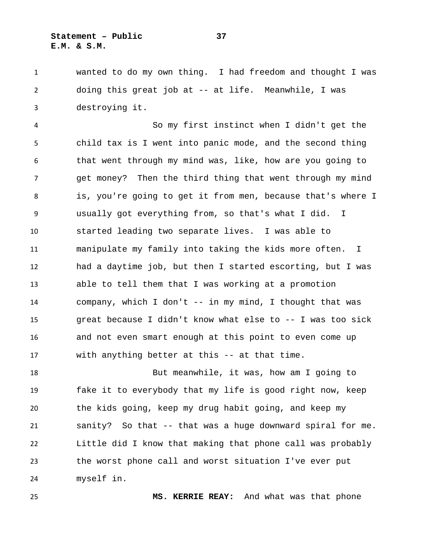## **Statement – Public 37 E.M. & S.M.**

 wanted to do my own thing. I had freedom and thought I was doing this great job at -- at life. Meanwhile, I was destroying it.

 So my first instinct when I didn't get the child tax is I went into panic mode, and the second thing that went through my mind was, like, how are you going to get money? Then the third thing that went through my mind is, you're going to get it from men, because that's where I usually got everything from, so that's what I did. I started leading two separate lives. I was able to manipulate my family into taking the kids more often. I had a daytime job, but then I started escorting, but I was able to tell them that I was working at a promotion company, which I don't -- in my mind, I thought that was great because I didn't know what else to -- I was too sick and not even smart enough at this point to even come up with anything better at this -- at that time.

 But meanwhile, it was, how am I going to fake it to everybody that my life is good right now, keep the kids going, keep my drug habit going, and keep my sanity? So that -- that was a huge downward spiral for me. Little did I know that making that phone call was probably the worst phone call and worst situation I've ever put myself in.

**MS. KERRIE REAY:** And what was that phone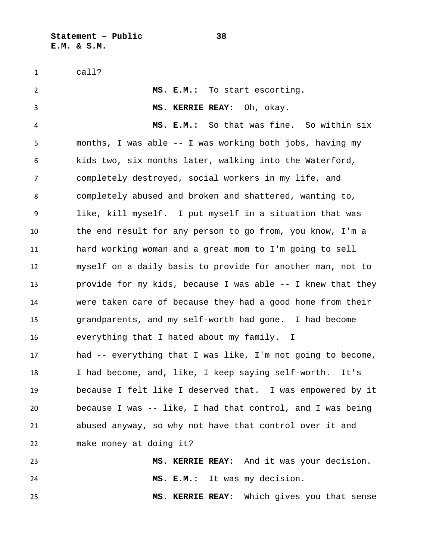**Statement – Public 38 E.M. & S.M.**

call?

 **MS. E.M.:** To start escorting. **MS. KERRIE REAY:** Oh, okay. **MS. E.M.:** So that was fine. So within six months, I was able -- I was working both jobs, having my kids two, six months later, walking into the Waterford, completely destroyed, social workers in my life, and completely abused and broken and shattered, wanting to, like, kill myself. I put myself in a situation that was the end result for any person to go from, you know, I'm a hard working woman and a great mom to I'm going to sell myself on a daily basis to provide for another man, not to provide for my kids, because I was able -- I knew that they were taken care of because they had a good home from their grandparents, and my self-worth had gone. I had become everything that I hated about my family. I had -- everything that I was like, I'm not going to become, I had become, and, like, I keep saying self-worth. It's because I felt like I deserved that. I was empowered by it because I was -- like, I had that control, and I was being abused anyway, so why not have that control over it and make money at doing it? **MS. KERRIE REAY:** And it was your decision. **MS. E.M.:** It was my decision. **MS. KERRIE REAY:** Which gives you that sense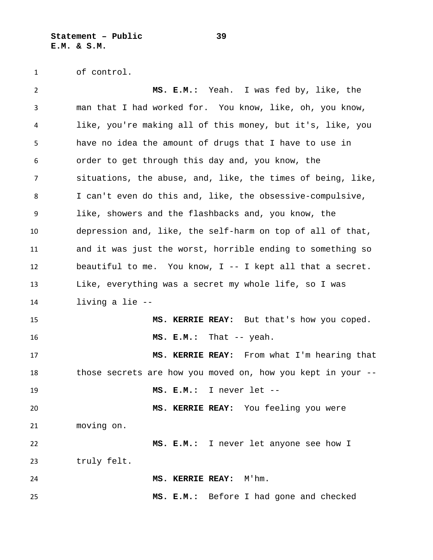**Statement – Public 39 E.M. & S.M.**

of control.

 **MS. E.M.:** Yeah. I was fed by, like, the man that I had worked for. You know, like, oh, you know, like, you're making all of this money, but it's, like, you have no idea the amount of drugs that I have to use in order to get through this day and, you know, the situations, the abuse, and, like, the times of being, like, I can't even do this and, like, the obsessive-compulsive, like, showers and the flashbacks and, you know, the depression and, like, the self-harm on top of all of that, and it was just the worst, horrible ending to something so beautiful to me. You know, I -- I kept all that a secret. Like, everything was a secret my whole life, so I was living a lie -- **MS. KERRIE REAY:** But that's how you coped. **MS. E.M.:** That -- yeah. **MS. KERRIE REAY:** From what I'm hearing that those secrets are how you moved on, how you kept in your -- **MS. E.M.:** I never let -- **MS. KERRIE REAY:** You feeling you were moving on. **MS. E.M.:** I never let anyone see how I truly felt. **MS. KERRIE REAY:** M'hm. **MS. E.M.:** Before I had gone and checked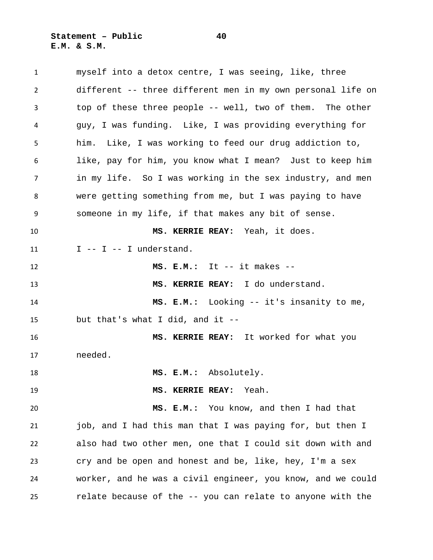**Statement – Public 40 E.M. & S.M.**

 myself into a detox centre, I was seeing, like, three different -- three different men in my own personal life on top of these three people -- well, two of them. The other guy, I was funding. Like, I was providing everything for him. Like, I was working to feed our drug addiction to, like, pay for him, you know what I mean? Just to keep him in my life. So I was working in the sex industry, and men were getting something from me, but I was paying to have someone in my life, if that makes any bit of sense. **MS. KERRIE REAY:** Yeah, it does.  $I -I -I -I$  understand. **MS. E.M.:** It -- it makes -- **MS. KERRIE REAY:** I do understand. **MS. E.M.:** Looking -- it's insanity to me, but that's what I did, and it -- **MS. KERRIE REAY:** It worked for what you needed. **MS. E.M.:** Absolutely. **MS. KERRIE REAY:** Yeah. **MS. E.M.:** You know, and then I had that job, and I had this man that I was paying for, but then I also had two other men, one that I could sit down with and cry and be open and honest and be, like, hey, I'm a sex worker, and he was a civil engineer, you know, and we could relate because of the -- you can relate to anyone with the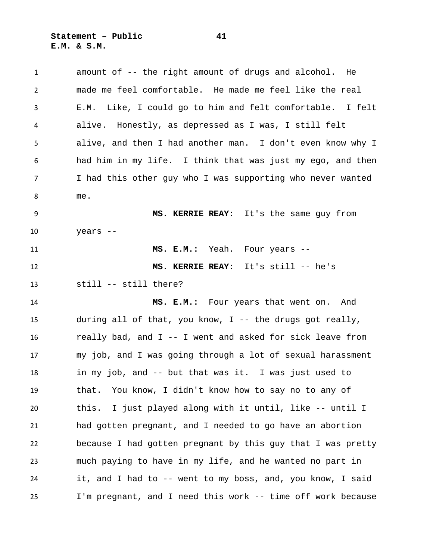| $\mathbf{1}$   | amount of -- the right amount of drugs and alcohol. He       |
|----------------|--------------------------------------------------------------|
| $\overline{2}$ | made me feel comfortable. He made me feel like the real      |
| 3              | Like, I could go to him and felt comfortable. I felt<br>E.M. |
| 4              | alive. Honestly, as depressed as I was, I still felt         |
| 5              | alive, and then I had another man. I don't even know why I   |
| 6              | had him in my life. I think that was just my ego, and then   |
| 7              | I had this other guy who I was supporting who never wanted   |
| 8              | me.                                                          |
| 9              | MS. KERRIE REAY: It's the same guy from                      |
| 10             | years --                                                     |
| 11             | MS. E.M.: Yeah. Four years --                                |
| 12             | MS. KERRIE REAY: It's still -- he's                          |
| 13             | still -- still there?                                        |
| 14             | MS. E.M.: Four years that went on. And                       |
| 15             | during all of that, you know, I -- the drugs got really,     |
| 16             | really bad, and I -- I went and asked for sick leave from    |
| 17             | my job, and I was going through a lot of sexual harassment   |
| 18             | in my job, and -- but that was it. I was just used to        |
| 19             | You know, I didn't know how to say no to any of<br>that.     |
| 20             | I just played along with it until, like -- until I<br>this.  |
| 21             | had gotten pregnant, and I needed to go have an abortion     |
| 22             | because I had gotten pregnant by this guy that I was pretty  |
| 23             | much paying to have in my life, and he wanted no part in     |
| 24             | it, and I had to -- went to my boss, and, you know, I said   |
| 25             | I'm pregnant, and I need this work -- time off work because  |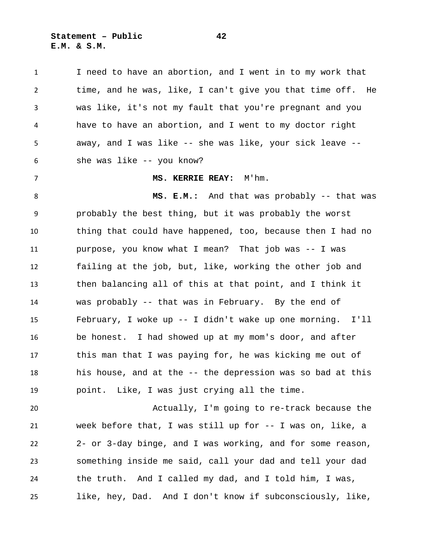**Statement – Public 42 E.M. & S.M.**

 I need to have an abortion, and I went in to my work that time, and he was, like, I can't give you that time off. He was like, it's not my fault that you're pregnant and you have to have an abortion, and I went to my doctor right away, and I was like -- she was like, your sick leave -- she was like -- you know? **MS. KERRIE REAY:** M'hm. **MS. E.M.:** And that was probably -- that was probably the best thing, but it was probably the worst thing that could have happened, too, because then I had no purpose, you know what I mean? That job was -- I was failing at the job, but, like, working the other job and then balancing all of this at that point, and I think it was probably -- that was in February. By the end of February, I woke up -- I didn't wake up one morning. I'll be honest. I had showed up at my mom's door, and after this man that I was paying for, he was kicking me out of his house, and at the -- the depression was so bad at this point. Like, I was just crying all the time. Actually, I'm going to re-track because the week before that, I was still up for -- I was on, like, a 2- or 3-day binge, and I was working, and for some reason,

 the truth. And I called my dad, and I told him, I was, like, hey, Dad. And I don't know if subconsciously, like,

something inside me said, call your dad and tell your dad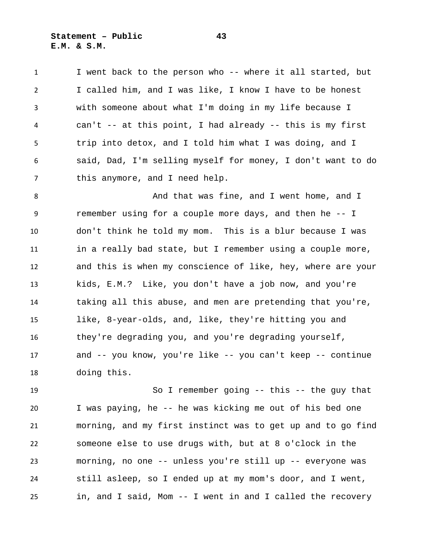**Statement – Public 43 E.M. & S.M.**

 I went back to the person who -- where it all started, but I called him, and I was like, I know I have to be honest with someone about what I'm doing in my life because I can't -- at this point, I had already -- this is my first trip into detox, and I told him what I was doing, and I said, Dad, I'm selling myself for money, I don't want to do this anymore, and I need help.

 And that was fine, and I went home, and I remember using for a couple more days, and then he -- I don't think he told my mom. This is a blur because I was in a really bad state, but I remember using a couple more, and this is when my conscience of like, hey, where are your kids, E.M.? Like, you don't have a job now, and you're taking all this abuse, and men are pretending that you're, like, 8-year-olds, and, like, they're hitting you and they're degrading you, and you're degrading yourself, and -- you know, you're like -- you can't keep -- continue doing this.

 So I remember going -- this -- the guy that I was paying, he -- he was kicking me out of his bed one morning, and my first instinct was to get up and to go find someone else to use drugs with, but at 8 o'clock in the morning, no one -- unless you're still up -- everyone was still asleep, so I ended up at my mom's door, and I went, in, and I said, Mom -- I went in and I called the recovery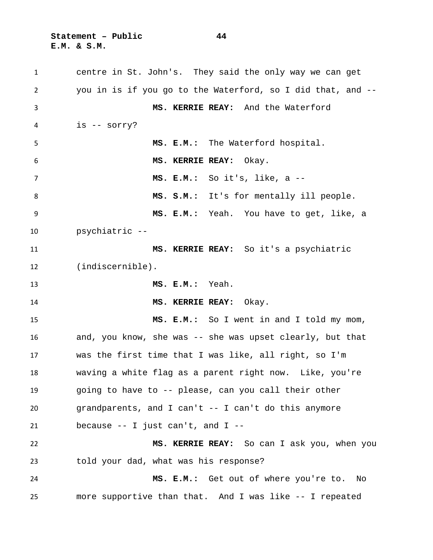**Statement – Public 44 E.M. & S.M.**

 centre in St. John's. They said the only way we can get you in is if you go to the Waterford, so I did that, and -- **MS. KERRIE REAY:** And the Waterford is -- sorry? **MS. E.M.:** The Waterford hospital. **MS. KERRIE REAY:** Okay. **MS. E.M.:** So it's, like, a -- 8 MS. S.M.: It's for mentally ill people. **MS. E.M.:** Yeah. You have to get, like, a psychiatric -- **MS. KERRIE REAY:** So it's a psychiatric (indiscernible). **MS. E.M.:** Yeah. **MS. KERRIE REAY:** Okay. **MS. E.M.:** So I went in and I told my mom, and, you know, she was -- she was upset clearly, but that was the first time that I was like, all right, so I'm waving a white flag as a parent right now. Like, you're going to have to -- please, can you call their other grandparents, and I can't -- I can't do this anymore because -- I just can't, and I -- **MS. KERRIE REAY:** So can I ask you, when you told your dad, what was his response? **MS. E.M.:** Get out of where you're to. No more supportive than that. And I was like -- I repeated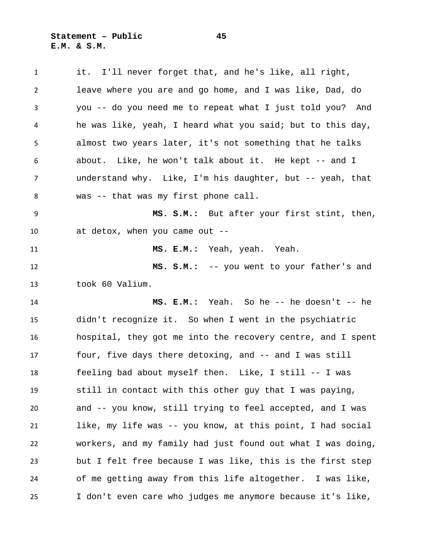**Statement – Public 45 E.M. & S.M.**

 it. I'll never forget that, and he's like, all right, leave where you are and go home, and I was like, Dad, do you -- do you need me to repeat what I just told you? And he was like, yeah, I heard what you said; but to this day, almost two years later, it's not something that he talks about. Like, he won't talk about it. He kept -- and I understand why. Like, I'm his daughter, but -- yeah, that was -- that was my first phone call. **MS. S.M.:** But after your first stint, then, at detox, when you came out -- **MS. E.M.:** Yeah, yeah. Yeah. **MS. S.M.:** -- you went to your father's and took 60 Valium. **MS. E.M.:** Yeah. So he -- he doesn't -- he didn't recognize it. So when I went in the psychiatric hospital, they got me into the recovery centre, and I spent four, five days there detoxing, and -- and I was still feeling bad about myself then. Like, I still -- I was still in contact with this other guy that I was paying, and -- you know, still trying to feel accepted, and I was like, my life was -- you know, at this point, I had social workers, and my family had just found out what I was doing, but I felt free because I was like, this is the first step of me getting away from this life altogether. I was like, I don't even care who judges me anymore because it's like,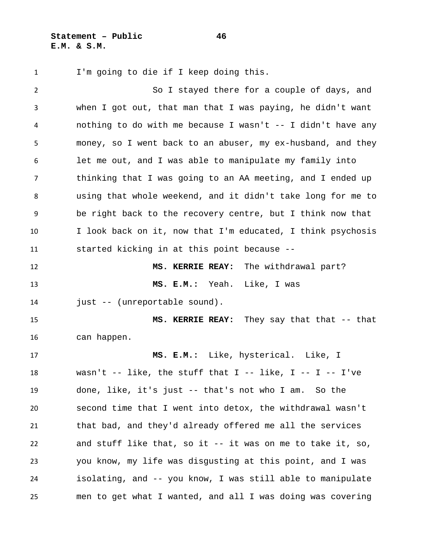**Statement – Public 46 E.M. & S.M.**

I'm going to die if I keep doing this.

 So I stayed there for a couple of days, and when I got out, that man that I was paying, he didn't want nothing to do with me because I wasn't -- I didn't have any money, so I went back to an abuser, my ex-husband, and they let me out, and I was able to manipulate my family into thinking that I was going to an AA meeting, and I ended up using that whole weekend, and it didn't take long for me to be right back to the recovery centre, but I think now that I look back on it, now that I'm educated, I think psychosis started kicking in at this point because -- **MS. KERRIE REAY:** The withdrawal part? **MS. E.M.:** Yeah. Like, I was just -- (unreportable sound). **MS. KERRIE REAY:** They say that that -- that can happen. **MS. E.M.:** Like, hysterical. Like, I wasn't -- like, the stuff that I -- like, I -- I -- I've done, like, it's just -- that's not who I am. So the second time that I went into detox, the withdrawal wasn't that bad, and they'd already offered me all the services and stuff like that, so it -- it was on me to take it, so, you know, my life was disgusting at this point, and I was isolating, and -- you know, I was still able to manipulate men to get what I wanted, and all I was doing was covering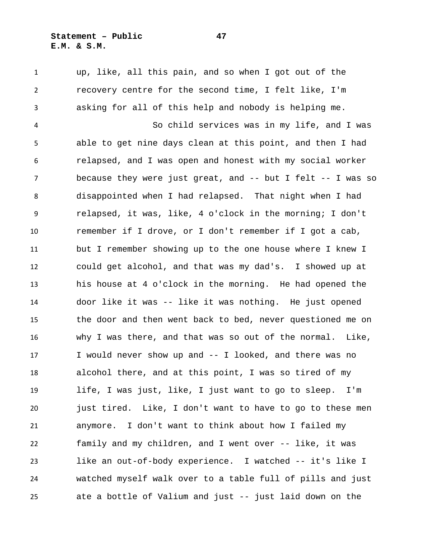## **Statement – Public 47 E.M. & S.M.**

 up, like, all this pain, and so when I got out of the recovery centre for the second time, I felt like, I'm asking for all of this help and nobody is helping me.

 So child services was in my life, and I was able to get nine days clean at this point, and then I had relapsed, and I was open and honest with my social worker because they were just great, and -- but I felt -- I was so disappointed when I had relapsed. That night when I had relapsed, it was, like, 4 o'clock in the morning; I don't remember if I drove, or I don't remember if I got a cab, but I remember showing up to the one house where I knew I could get alcohol, and that was my dad's. I showed up at his house at 4 o'clock in the morning. He had opened the door like it was -- like it was nothing. He just opened the door and then went back to bed, never questioned me on why I was there, and that was so out of the normal. Like, I would never show up and -- I looked, and there was no alcohol there, and at this point, I was so tired of my life, I was just, like, I just want to go to sleep. I'm just tired. Like, I don't want to have to go to these men anymore. I don't want to think about how I failed my family and my children, and I went over -- like, it was like an out-of-body experience. I watched -- it's like I watched myself walk over to a table full of pills and just ate a bottle of Valium and just -- just laid down on the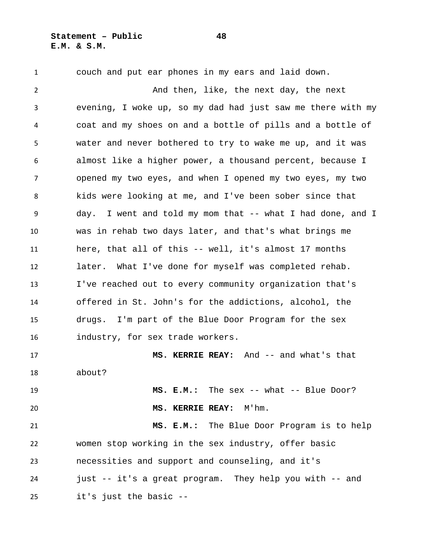**Statement – Public 48 E.M. & S.M.**

couch and put ear phones in my ears and laid down.

 And then, like, the next day, the next evening, I woke up, so my dad had just saw me there with my coat and my shoes on and a bottle of pills and a bottle of water and never bothered to try to wake me up, and it was almost like a higher power, a thousand percent, because I opened my two eyes, and when I opened my two eyes, my two kids were looking at me, and I've been sober since that day. I went and told my mom that -- what I had done, and I was in rehab two days later, and that's what brings me here, that all of this -- well, it's almost 17 months later. What I've done for myself was completed rehab. I've reached out to every community organization that's offered in St. John's for the addictions, alcohol, the drugs. I'm part of the Blue Door Program for the sex industry, for sex trade workers. **MS. KERRIE REAY:** And -- and what's that about? **MS. E.M.:** The sex -- what -- Blue Door? **MS. KERRIE REAY:** M'hm. **MS. E.M.:** The Blue Door Program is to help

 women stop working in the sex industry, offer basic necessities and support and counseling, and it's just -- it's a great program. They help you with -- and it's just the basic --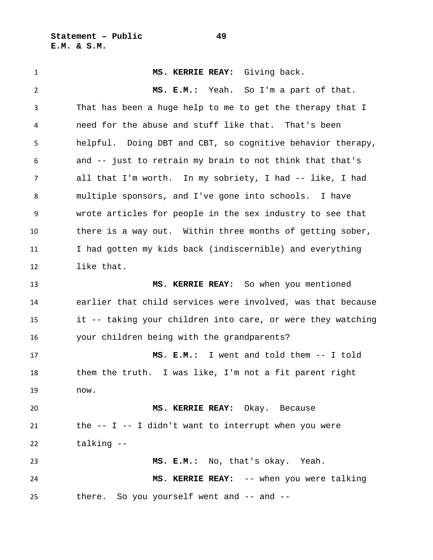**Statement – Public 49 E.M. & S.M.**

 **MS. KERRIE REAY:** Giving back. **MS. E.M.:** Yeah. So I'm a part of that. That has been a huge help to me to get the therapy that I need for the abuse and stuff like that. That's been helpful. Doing DBT and CBT, so cognitive behavior therapy, and -- just to retrain my brain to not think that that's all that I'm worth. In my sobriety, I had -- like, I had multiple sponsors, and I've gone into schools. I have wrote articles for people in the sex industry to see that there is a way out. Within three months of getting sober, I had gotten my kids back (indiscernible) and everything like that. **MS. KERRIE REAY:** So when you mentioned earlier that child services were involved, was that because it -- taking your children into care, or were they watching your children being with the grandparents? **MS. E.M.:** I went and told them -- I told them the truth. I was like, I'm not a fit parent right now. **MS. KERRIE REAY:** Okay. Because the  $-$  I  $-$  I didn't want to interrupt when you were talking -- **MS. E.M.:** No, that's okay. Yeah. **MS. KERRIE REAY:** -- when you were talking there. So you yourself went and -- and --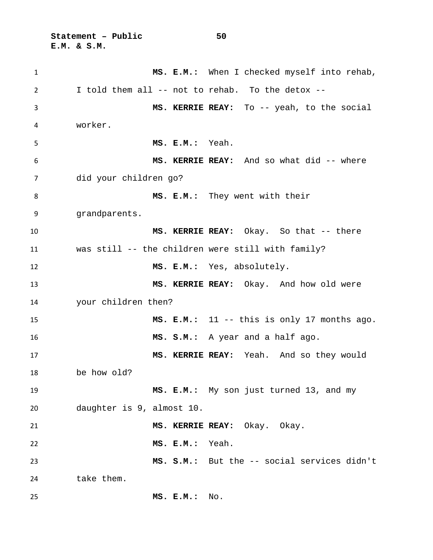**Statement – Public 50 E.M. & S.M.**

 **MS. E.M.:** When I checked myself into rehab, I told them all -- not to rehab. To the detox -- **MS. KERRIE REAY:** To -- yeah, to the social worker. **MS. E.M.:** Yeah. **MS. KERRIE REAY:** And so what did -- where did your children go? **MS. E.M.:** They went with their grandparents. **MS. KERRIE REAY:** Okay. So that -- there was still -- the children were still with family? **MS. E.M.:** Yes, absolutely. **MS. KERRIE REAY:** Okay. And how old were your children then? **MS. E.M.:** 11 -- this is only 17 months ago. **MS. S.M.:** A year and a half ago. **MS. KERRIE REAY:** Yeah. And so they would be how old? **MS. E.M.:** My son just turned 13, and my daughter is 9, almost 10. **MS. KERRIE REAY:** Okay. Okay. **MS. E.M.:** Yeah. **MS. S.M.:** But the -- social services didn't 24 take them. **MS. E.M.:** No.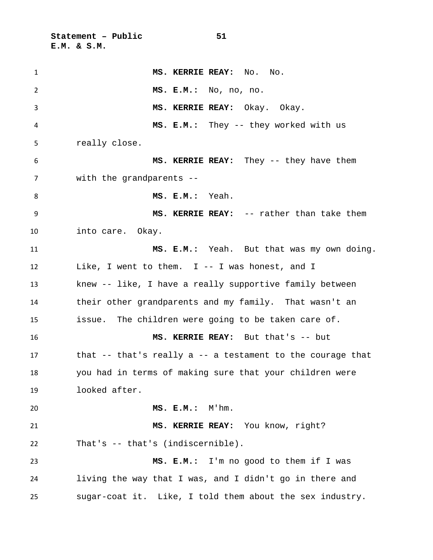**Statement – Public 51 E.M. & S.M.**

 **MS. KERRIE REAY:** No. No. **MS. E.M.:** No, no, no. **MS. KERRIE REAY:** Okay. Okay. **MS. E.M.:** They -- they worked with us really close. **MS. KERRIE REAY:** They -- they have them with the grandparents -- **MS. E.M.:** Yeah. **MS. KERRIE REAY:** -- rather than take them into care. Okay. **MS. E.M.:** Yeah. But that was my own doing. Like, I went to them. I -- I was honest, and I knew -- like, I have a really supportive family between their other grandparents and my family. That wasn't an issue. The children were going to be taken care of. **MS. KERRIE REAY:** But that's -- but that -- that's really a -- a testament to the courage that you had in terms of making sure that your children were looked after. **MS. E.M.:** M'hm. **MS. KERRIE REAY:** You know, right? That's -- that's (indiscernible). **MS. E.M.:** I'm no good to them if I was living the way that I was, and I didn't go in there and sugar-coat it. Like, I told them about the sex industry.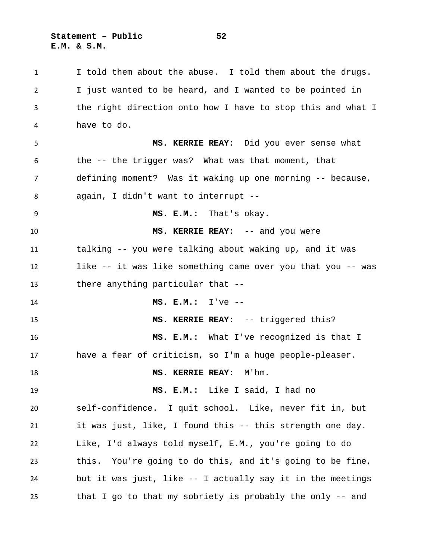**Statement – Public 52 E.M. & S.M.**

 I told them about the abuse. I told them about the drugs. I just wanted to be heard, and I wanted to be pointed in the right direction onto how I have to stop this and what I have to do. **MS. KERRIE REAY:** Did you ever sense what the -- the trigger was? What was that moment, that defining moment? Was it waking up one morning -- because, again, I didn't want to interrupt -- **MS. E.M.:** That's okay. **MS. KERRIE REAY:** -- and you were talking -- you were talking about waking up, and it was like -- it was like something came over you that you -- was there anything particular that -- **MS. E.M.:** I've -- **MS. KERRIE REAY:** -- triggered this? **MS. E.M.:** What I've recognized is that I have a fear of criticism, so I'm a huge people-pleaser. **MS. KERRIE REAY:** M'hm. **MS. E.M.:** Like I said, I had no self-confidence. I quit school. Like, never fit in, but it was just, like, I found this -- this strength one day. Like, I'd always told myself, E.M., you're going to do this. You're going to do this, and it's going to be fine, but it was just, like -- I actually say it in the meetings that I go to that my sobriety is probably the only -- and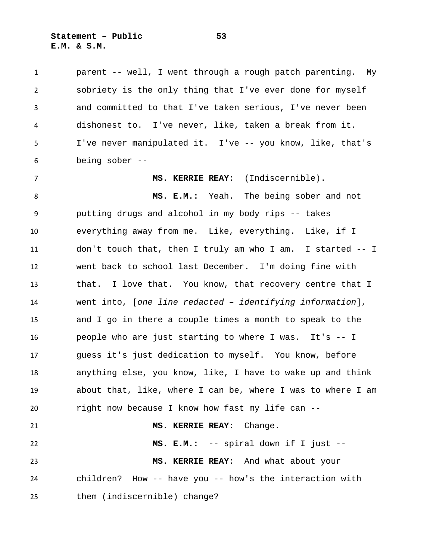**Statement – Public 53 E.M. & S.M.**

 parent -- well, I went through a rough patch parenting. My sobriety is the only thing that I've ever done for myself and committed to that I've taken serious, I've never been dishonest to. I've never, like, taken a break from it. I've never manipulated it. I've -- you know, like, that's being sober --

**MS. KERRIE REAY:** (Indiscernible).

 **MS. E.M.:** Yeah. The being sober and not putting drugs and alcohol in my body rips -- takes everything away from me. Like, everything. Like, if I don't touch that, then I truly am who I am. I started -- I went back to school last December. I'm doing fine with that. I love that. You know, that recovery centre that I went into, [*one line redacted – identifying information*], and I go in there a couple times a month to speak to the people who are just starting to where I was. It's -- I guess it's just dedication to myself. You know, before anything else, you know, like, I have to wake up and think about that, like, where I can be, where I was to where I am right now because I know how fast my life can -- **MS. KERRIE REAY:** Change. **MS. E.M.:** -- spiral down if I just -- **MS. KERRIE REAY:** And what about your children? How -- have you -- how's the interaction with

them (indiscernible) change?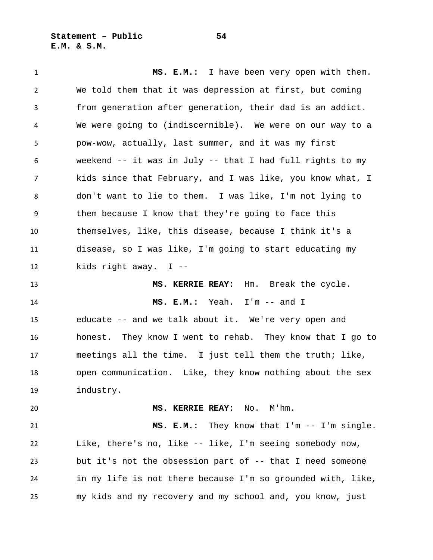**Statement – Public 54 E.M. & S.M.**

 **MS. E.M.:** I have been very open with them. We told them that it was depression at first, but coming from generation after generation, their dad is an addict. We were going to (indiscernible). We were on our way to a pow-wow, actually, last summer, and it was my first weekend -- it was in July -- that I had full rights to my kids since that February, and I was like, you know what, I don't want to lie to them. I was like, I'm not lying to them because I know that they're going to face this themselves, like, this disease, because I think it's a disease, so I was like, I'm going to start educating my kids right away. I -- **MS. KERRIE REAY:** Hm. Break the cycle. **MS. E.M.:** Yeah. I'm -- and I educate -- and we talk about it. We're very open and honest. They know I went to rehab. They know that I go to meetings all the time. I just tell them the truth; like, open communication. Like, they know nothing about the sex industry. **MS. KERRIE REAY:** No. M'hm. **MS. E.M.:** They know that I'm -- I'm single. Like, there's no, like -- like, I'm seeing somebody now, but it's not the obsession part of -- that I need someone in my life is not there because I'm so grounded with, like, my kids and my recovery and my school and, you know, just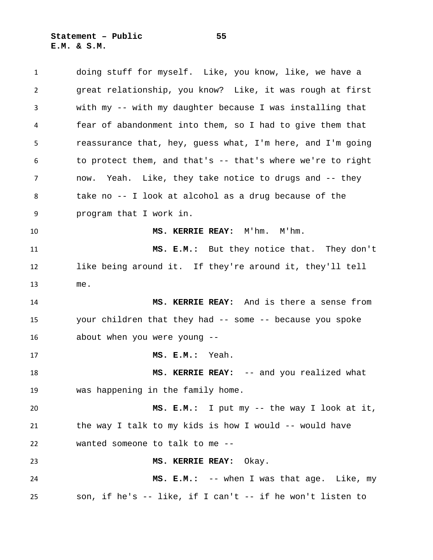**Statement – Public 55 E.M. & S.M.**

| 1  | doing stuff for myself. Like, you know, like, we have a    |
|----|------------------------------------------------------------|
| 2  | great relationship, you know? Like, it was rough at first  |
| 3  | with my -- with my daughter because I was installing that  |
| 4  | fear of abandonment into them, so I had to give them that  |
| 5  | reassurance that, hey, guess what, I'm here, and I'm going |
| 6  | to protect them, and that's -- that's where we're to right |
| 7  | now. Yeah. Like, they take notice to drugs and -- they     |
| 8  | take no -- I look at alcohol as a drug because of the      |
| 9  | program that I work in.                                    |
| 10 | MS. KERRIE REAY: M'hm. M'hm.                               |
| 11 | MS. E.M.: But they notice that. They don't                 |
| 12 | like being around it. If they're around it, they'll tell   |
| 13 | me.                                                        |
| 14 | MS. KERRIE REAY: And is there a sense from                 |
| 15 | your children that they had -- some -- because you spoke   |
| 16 | about when you were young --                               |
| 17 | MS. E.M.: Yeah.                                            |
| 18 | MS. KERRIE REAY: -- and you realized what                  |
| 19 | was happening in the family home.                          |
| 20 | MS. E.M.: I put my -- the way I look at it,                |
| 21 | the way I talk to my kids is how I would -- would have     |
| 22 | wanted someone to talk to me --                            |
| 23 | MS. KERRIE REAY: Okay.                                     |
| 24 | MS. E.M.: -- when I was that age. Like, my                 |
| 25 | son, if he's -- like, if I can't -- if he won't listen to  |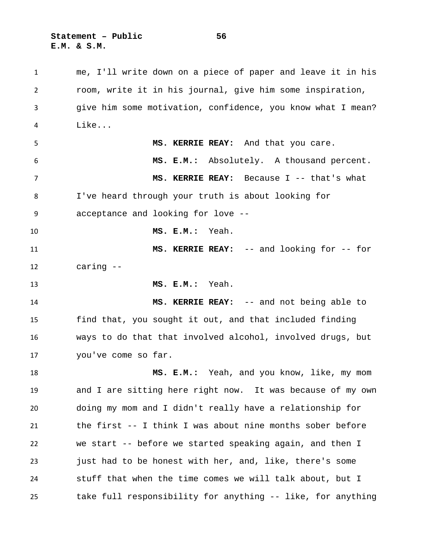**Statement – Public 56 E.M. & S.M.**

 me, I'll write down on a piece of paper and leave it in his room, write it in his journal, give him some inspiration, give him some motivation, confidence, you know what I mean? Like... **MS. KERRIE REAY:** And that you care. **MS. E.M.:** Absolutely. A thousand percent. **MS. KERRIE REAY:** Because I -- that's what I've heard through your truth is about looking for acceptance and looking for love -- **MS. E.M.:** Yeah. **MS. KERRIE REAY:** -- and looking for -- for caring -- **MS. E.M.:** Yeah. **MS. KERRIE REAY:** -- and not being able to find that, you sought it out, and that included finding ways to do that that involved alcohol, involved drugs, but you've come so far. **MS. E.M.:** Yeah, and you know, like, my mom and I are sitting here right now. It was because of my own doing my mom and I didn't really have a relationship for the first -- I think I was about nine months sober before we start -- before we started speaking again, and then I just had to be honest with her, and, like, there's some stuff that when the time comes we will talk about, but I take full responsibility for anything -- like, for anything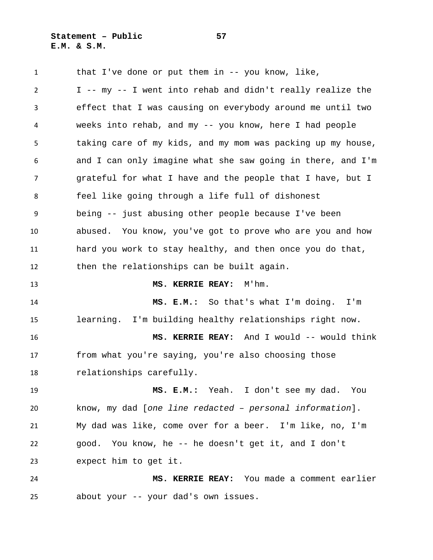**Statement – Public 57 E.M. & S.M.**

1 that I've done or put them in -- you know, like, I -- my -- I went into rehab and didn't really realize the effect that I was causing on everybody around me until two weeks into rehab, and my -- you know, here I had people taking care of my kids, and my mom was packing up my house, and I can only imagine what she saw going in there, and I'm grateful for what I have and the people that I have, but I feel like going through a life full of dishonest being -- just abusing other people because I've been abused. You know, you've got to prove who are you and how hard you work to stay healthy, and then once you do that, then the relationships can be built again. **MS. KERRIE REAY:** M'hm. **MS. E.M.:** So that's what I'm doing. I'm learning. I'm building healthy relationships right now. **MS. KERRIE REAY:** And I would -- would think from what you're saying, you're also choosing those relationships carefully. **MS. E.M.:** Yeah. I don't see my dad. You know, my dad [*one line redacted – personal information*]. My dad was like, come over for a beer. I'm like, no, I'm good. You know, he -- he doesn't get it, and I don't expect him to get it. **MS. KERRIE REAY:** You made a comment earlier about your -- your dad's own issues.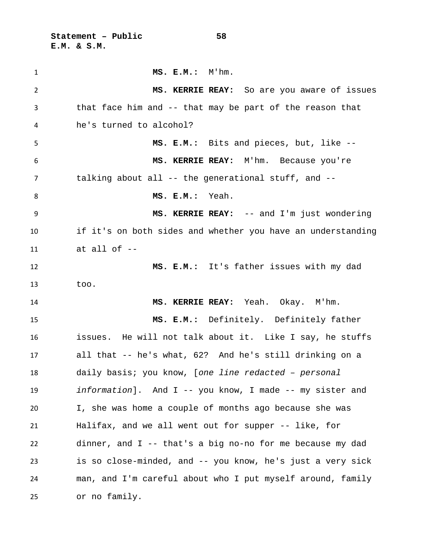**Statement – Public 58 E.M. & S.M.**

| $\mathbf{1}$   | $MS. E.M.$ : $M'hm.$                                        |
|----------------|-------------------------------------------------------------|
| $\overline{2}$ | MS. KERRIE REAY: So are you aware of issues                 |
| 3              | that face him and -- that may be part of the reason that    |
| 4              | he's turned to alcohol?                                     |
| 5              | MS. E.M.: Bits and pieces, but, like --                     |
| 6              | MS. KERRIE REAY: M'hm. Because you're                       |
| 7              | talking about all -- the generational stuff, and $-$ -      |
| 8              | MS. E.M.: Yeah.                                             |
| 9              | MS. KERRIE REAY: -- and I'm just wondering                  |
| 10             | if it's on both sides and whether you have an understanding |
| 11             | at all of $-$                                               |
| 12             | MS. E.M.: It's father issues with my dad                    |
| 13             | too.                                                        |
| 14             | MS. KERRIE REAY: Yeah. Okay. M'hm.                          |
| 15             | MS. E.M.: Definitely. Definitely father                     |
| 16             | issues. He will not talk about it. Like I say, he stuffs    |
| 17             | all that -- he's what, 62? And he's still drinking on a     |
| 18             | daily basis; you know, [one line redacted - personal        |
| 19             | information]. And I -- you know, I made -- my sister and    |
| 20             | I, she was home a couple of months ago because she was      |
| 21             | Halifax, and we all went out for supper -- like, for        |
| 22             | dinner, and $I$ -- that's a big no-no for me because my dad |
| 23             | is so close-minded, and -- you know, he's just a very sick  |
| 24             | man, and I'm careful about who I put myself around, family  |
| 25             | or no family.                                               |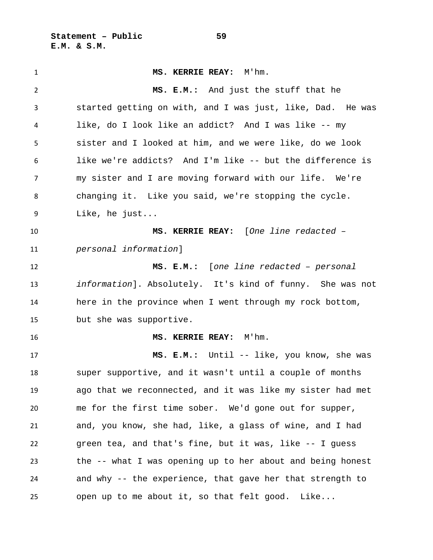**Statement – Public 59 E.M. & S.M.**

 **MS. KERRIE REAY:** M'hm. **MS. E.M.:** And just the stuff that he started getting on with, and I was just, like, Dad. He was like, do I look like an addict? And I was like -- my sister and I looked at him, and we were like, do we look like we're addicts? And I'm like -- but the difference is my sister and I are moving forward with our life. We're changing it. Like you said, we're stopping the cycle. Like, he just... **MS. KERRIE REAY:** [*One line redacted – personal information*] **MS. E.M.:** [*one line redacted – personal information*]. Absolutely. It's kind of funny. She was not here in the province when I went through my rock bottom, but she was supportive. **MS. KERRIE REAY:** M'hm. **MS. E.M.:** Until -- like, you know, she was super supportive, and it wasn't until a couple of months ago that we reconnected, and it was like my sister had met me for the first time sober. We'd gone out for supper, and, you know, she had, like, a glass of wine, and I had green tea, and that's fine, but it was, like -- I guess the -- what I was opening up to her about and being honest and why -- the experience, that gave her that strength to open up to me about it, so that felt good. Like...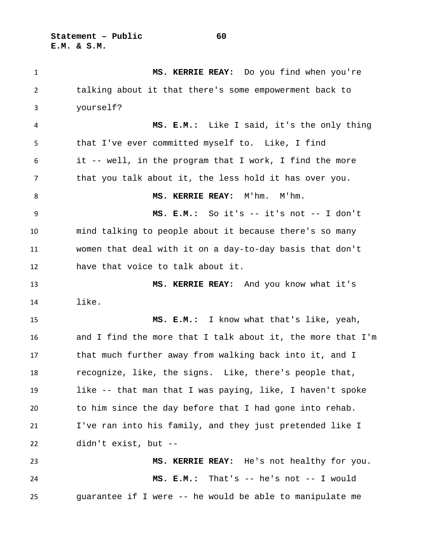**Statement – Public 60 E.M. & S.M.**

 **MS. KERRIE REAY:** Do you find when you're talking about it that there's some empowerment back to yourself? **MS. E.M.:** Like I said, it's the only thing that I've ever committed myself to. Like, I find it -- well, in the program that I work, I find the more that you talk about it, the less hold it has over you. **MS. KERRIE REAY:** M'hm. M'hm. **MS. E.M.:** So it's -- it's not -- I don't mind talking to people about it because there's so many women that deal with it on a day-to-day basis that don't have that voice to talk about it. **MS. KERRIE REAY:** And you know what it's like. **MS. E.M.:** I know what that's like, yeah, and I find the more that I talk about it, the more that I'm that much further away from walking back into it, and I recognize, like, the signs. Like, there's people that, like -- that man that I was paying, like, I haven't spoke to him since the day before that I had gone into rehab. I've ran into his family, and they just pretended like I didn't exist, but -- **MS. KERRIE REAY:** He's not healthy for you. **MS. E.M.:** That's -- he's not -- I would guarantee if I were -- he would be able to manipulate me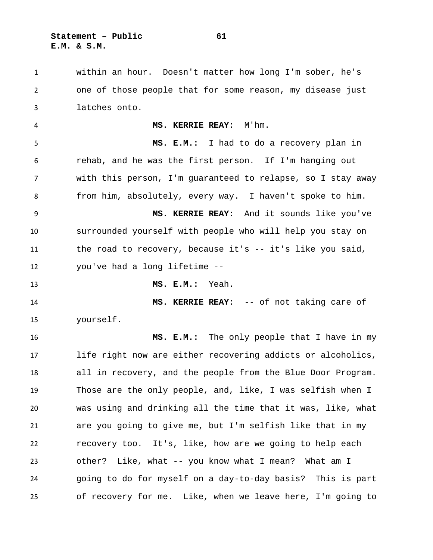within an hour. Doesn't matter how long I'm sober, he's one of those people that for some reason, my disease just latches onto. **MS. KERRIE REAY:** M'hm. **MS. E.M.:** I had to do a recovery plan in rehab, and he was the first person. If I'm hanging out with this person, I'm guaranteed to relapse, so I stay away from him, absolutely, every way. I haven't spoke to him. **MS. KERRIE REAY:** And it sounds like you've surrounded yourself with people who will help you stay on the road to recovery, because it's -- it's like you said, you've had a long lifetime -- **MS. E.M.:** Yeah. **MS. KERRIE REAY:** -- of not taking care of yourself. **MS. E.M.:** The only people that I have in my life right now are either recovering addicts or alcoholics, all in recovery, and the people from the Blue Door Program. Those are the only people, and, like, I was selfish when I was using and drinking all the time that it was, like, what are you going to give me, but I'm selfish like that in my recovery too. It's, like, how are we going to help each other? Like, what -- you know what I mean? What am I going to do for myself on a day-to-day basis? This is part of recovery for me. Like, when we leave here, I'm going to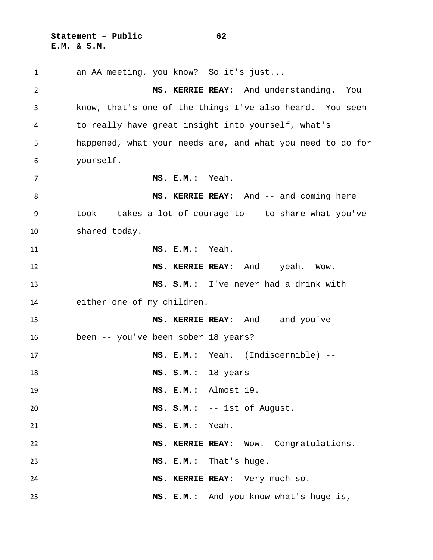**Statement – Public 62 E.M. & S.M.**

 an AA meeting, you know? So it's just... **MS. KERRIE REAY:** And understanding. You know, that's one of the things I've also heard. You seem to really have great insight into yourself, what's happened, what your needs are, and what you need to do for yourself. **MS. E.M.:** Yeah. **MS. KERRIE REAY:** And -- and coming here took -- takes a lot of courage to -- to share what you've shared today. **MS. E.M.:** Yeah. **MS. KERRIE REAY:** And -- yeah. Wow. **MS. S.M.:** I've never had a drink with either one of my children. **MS. KERRIE REAY:** And -- and you've been -- you've been sober 18 years? **MS. E.M.:** Yeah. (Indiscernible) -- **MS. S.M.:** 18 years -- **MS. E.M.:** Almost 19. **MS. S.M.:** -- 1st of August. **MS. E.M.:** Yeah. **MS. KERRIE REAY:** Wow. Congratulations. **MS. E.M.:** That's huge. **MS. KERRIE REAY:** Very much so. **MS. E.M.:** And you know what's huge is,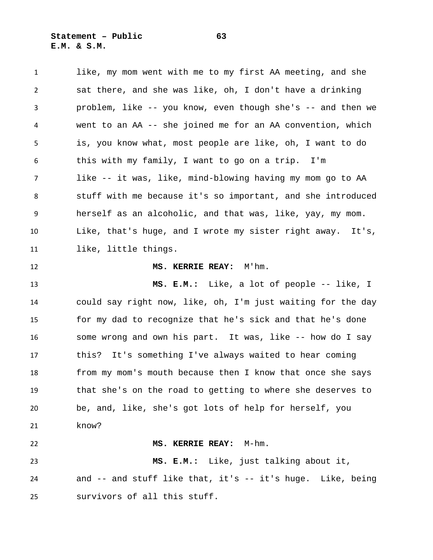**Statement – Public 63 E.M. & S.M.**

 like, my mom went with me to my first AA meeting, and she sat there, and she was like, oh, I don't have a drinking problem, like -- you know, even though she's -- and then we went to an AA -- she joined me for an AA convention, which is, you know what, most people are like, oh, I want to do this with my family, I want to go on a trip. I'm like -- it was, like, mind-blowing having my mom go to AA stuff with me because it's so important, and she introduced herself as an alcoholic, and that was, like, yay, my mom. Like, that's huge, and I wrote my sister right away. It's, like, little things. **MS. KERRIE REAY:** M'hm. **MS. E.M.:** Like, a lot of people -- like, I could say right now, like, oh, I'm just waiting for the day for my dad to recognize that he's sick and that he's done some wrong and own his part. It was, like -- how do I say this? It's something I've always waited to hear coming from my mom's mouth because then I know that once she says that she's on the road to getting to where she deserves to be, and, like, she's got lots of help for herself, you know? **MS. KERRIE REAY:** M-hm. **MS. E.M.:** Like, just talking about it, and -- and stuff like that, it's -- it's huge. Like, being survivors of all this stuff.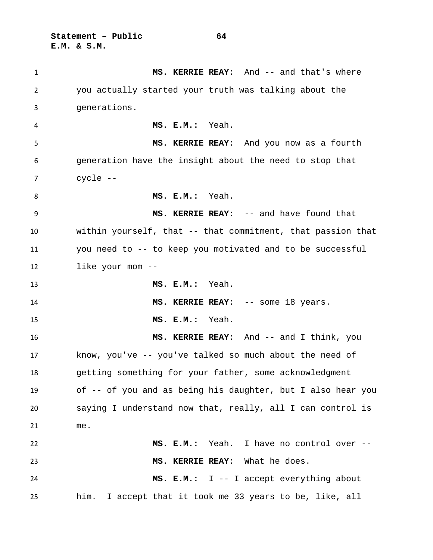**Statement – Public 64 E.M. & S.M.**

1 MS. KERRIE REAY: And -- and that's where you actually started your truth was talking about the generations. **MS. E.M.:** Yeah. **MS. KERRIE REAY:** And you now as a fourth generation have the insight about the need to stop that cycle -- **MS. E.M.:** Yeah. **MS. KERRIE REAY:** -- and have found that within yourself, that -- that commitment, that passion that you need to -- to keep you motivated and to be successful like your mom -- **MS. E.M.:** Yeah. **MS. KERRIE REAY:** -- some 18 years. **MS. E.M.:** Yeah. **MS. KERRIE REAY:** And -- and I think, you know, you've -- you've talked so much about the need of getting something for your father, some acknowledgment of -- of you and as being his daughter, but I also hear you saying I understand now that, really, all I can control is me. **MS. E.M.:** Yeah. I have no control over -- **MS. KERRIE REAY:** What he does. **MS. E.M.:** I -- I accept everything about him. I accept that it took me 33 years to be, like, all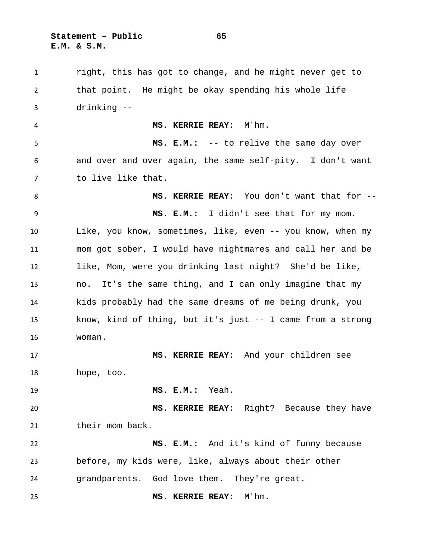**Statement – Public 65 E.M. & S.M.**

 right, this has got to change, and he might never get to that point. He might be okay spending his whole life drinking -- **MS. KERRIE REAY:** M'hm. **MS. E.M.:** -- to relive the same day over and over and over again, the same self-pity. I don't want to live like that. **MS. KERRIE REAY:** You don't want that for -- **MS. E.M.:** I didn't see that for my mom. Like, you know, sometimes, like, even -- you know, when my mom got sober, I would have nightmares and call her and be like, Mom, were you drinking last night? She'd be like, no. It's the same thing, and I can only imagine that my kids probably had the same dreams of me being drunk, you know, kind of thing, but it's just -- I came from a strong woman. **MS. KERRIE REAY:** And your children see hope, too. **MS. E.M.:** Yeah. **MS. KERRIE REAY:** Right? Because they have 21 their mom back. **MS. E.M.:** And it's kind of funny because before, my kids were, like, always about their other grandparents. God love them. They're great. **MS. KERRIE REAY:** M'hm.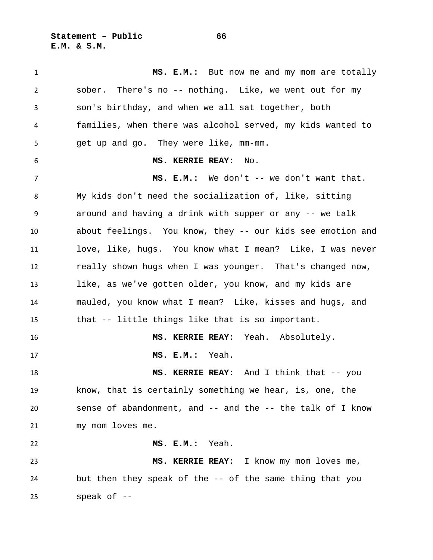**Statement – Public 66 E.M. & S.M.**

 **MS. E.M.:** But now me and my mom are totally sober. There's no -- nothing. Like, we went out for my son's birthday, and when we all sat together, both families, when there was alcohol served, my kids wanted to get up and go. They were like, mm-mm. **MS. KERRIE REAY:** No. 7 MS. E.M.: We don't -- we don't want that. My kids don't need the socialization of, like, sitting around and having a drink with supper or any -- we talk about feelings. You know, they -- our kids see emotion and love, like, hugs. You know what I mean? Like, I was never really shown hugs when I was younger. That's changed now, like, as we've gotten older, you know, and my kids are mauled, you know what I mean? Like, kisses and hugs, and that -- little things like that is so important. **MS. KERRIE REAY:** Yeah. Absolutely. **MS. E.M.:** Yeah. **MS. KERRIE REAY:** And I think that -- you know, that is certainly something we hear, is, one, the sense of abandonment, and -- and the -- the talk of I know my mom loves me. **MS. E.M.:** Yeah. **MS. KERRIE REAY:** I know my mom loves me, but then they speak of the -- of the same thing that you speak of --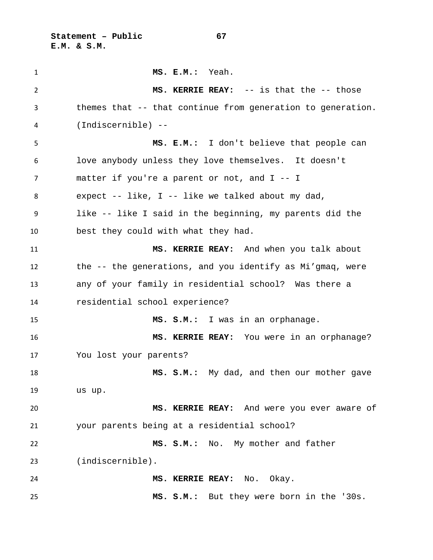**Statement – Public 67 E.M. & S.M.**

 **MS. E.M.:** Yeah. **MS. KERRIE REAY:** -- is that the -- those themes that -- that continue from generation to generation. (Indiscernible) -- **MS. E.M.:** I don't believe that people can love anybody unless they love themselves. It doesn't matter if you're a parent or not, and I -- I expect -- like, I -- like we talked about my dad, like -- like I said in the beginning, my parents did the best they could with what they had. **MS. KERRIE REAY:** And when you talk about the -- the generations, and you identify as Mi'gmaq, were any of your family in residential school? Was there a residential school experience? **MS. S.M.:** I was in an orphanage. **MS. KERRIE REAY:** You were in an orphanage? You lost your parents? **MS. S.M.:** My dad, and then our mother gave us up. **MS. KERRIE REAY:** And were you ever aware of your parents being at a residential school? **MS. S.M.:** No. My mother and father (indiscernible). **MS. KERRIE REAY:** No. Okay. **MS. S.M.:** But they were born in the '30s.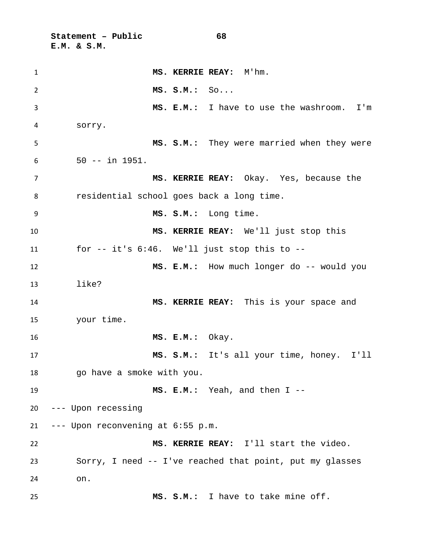**Statement – Public 68 E.M. & S.M.**

 **MS. KERRIE REAY:** M'hm. **MS. S.M.:** So... **MS. E.M.:** I have to use the washroom. I'm sorry. **MS. S.M.:** They were married when they were 50 -- in 1951. **MS. KERRIE REAY:** Okay. Yes, because the residential school goes back a long time. **MS. S.M.:** Long time. **MS. KERRIE REAY:** We'll just stop this for -- it's 6:46. We'll just stop this to -- **MS. E.M.:** How much longer do -- would you like? **MS. KERRIE REAY:** This is your space and your time. **MS. E.M.:** Okay. **MS. S.M.:** It's all your time, honey. I'll go have a smoke with you. **MS. E.M.:** Yeah, and then I -- --- Upon recessing --- Upon reconvening at 6:55 p.m. **MS. KERRIE REAY:** I'll start the video. Sorry, I need -- I've reached that point, put my glasses on. **MS. S.M.:** I have to take mine off.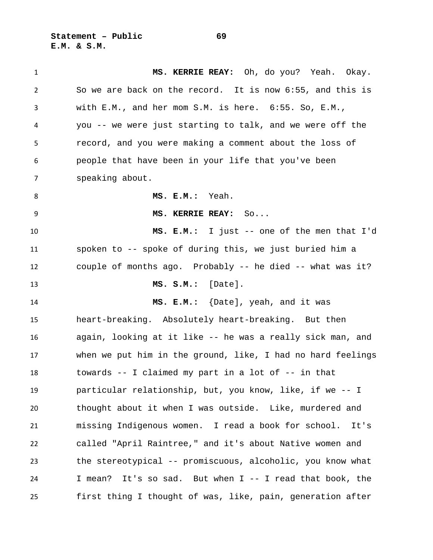**Statement – Public 69 E.M. & S.M.**

 **MS. KERRIE REAY:** Oh, do you? Yeah. Okay. So we are back on the record. It is now 6:55, and this is with E.M., and her mom S.M. is here. 6:55. So, E.M., you -- we were just starting to talk, and we were off the record, and you were making a comment about the loss of people that have been in your life that you've been speaking about. **MS. E.M.:** Yeah. **MS. KERRIE REAY:** So... **MS. E.M.:** I just -- one of the men that I'd spoken to -- spoke of during this, we just buried him a couple of months ago. Probably -- he died -- what was it? **MS. S.M.:** [Date]. **MS. E.M.:** {Date], yeah, and it was heart-breaking. Absolutely heart-breaking. But then again, looking at it like -- he was a really sick man, and when we put him in the ground, like, I had no hard feelings towards -- I claimed my part in a lot of -- in that particular relationship, but, you know, like, if we -- I thought about it when I was outside. Like, murdered and missing Indigenous women. I read a book for school. It's called "April Raintree," and it's about Native women and the stereotypical -- promiscuous, alcoholic, you know what I mean? It's so sad. But when I -- I read that book, the first thing I thought of was, like, pain, generation after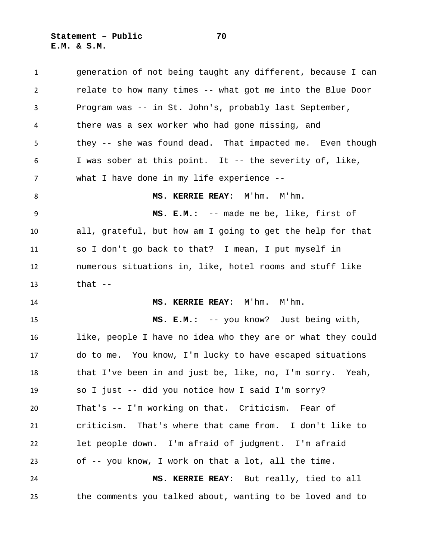**Statement – Public 70 E.M. & S.M.**

 generation of not being taught any different, because I can relate to how many times -- what got me into the Blue Door Program was -- in St. John's, probably last September, there was a sex worker who had gone missing, and they -- she was found dead. That impacted me. Even though I was sober at this point. It -- the severity of, like, what I have done in my life experience -- 8 MS. KERRIE REAY: M'hm. M'hm. **MS. E.M.:** -- made me be, like, first of all, grateful, but how am I going to get the help for that so I don't go back to that? I mean, I put myself in numerous situations in, like, hotel rooms and stuff like that -- **MS. KERRIE REAY:** M'hm. M'hm. **MS. E.M.:** -- you know? Just being with, like, people I have no idea who they are or what they could do to me. You know, I'm lucky to have escaped situations that I've been in and just be, like, no, I'm sorry. Yeah, so I just -- did you notice how I said I'm sorry? That's -- I'm working on that. Criticism. Fear of criticism. That's where that came from. I don't like to let people down. I'm afraid of judgment. I'm afraid of -- you know, I work on that a lot, all the time. **MS. KERRIE REAY:** But really, tied to all the comments you talked about, wanting to be loved and to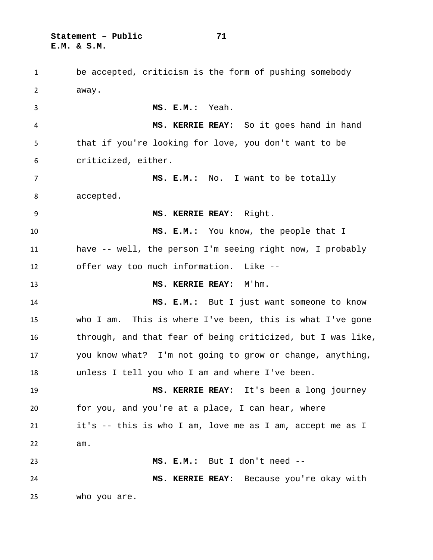**Statement – Public 71 E.M. & S.M.**

 be accepted, criticism is the form of pushing somebody away. **MS. E.M.:** Yeah. **MS. KERRIE REAY:** So it goes hand in hand that if you're looking for love, you don't want to be criticized, either. **MS. E.M.:** No. I want to be totally accepted. **MS. KERRIE REAY:** Right. **MS. E.M.:** You know, the people that I have -- well, the person I'm seeing right now, I probably offer way too much information. Like -- **MS. KERRIE REAY:** M'hm. **MS. E.M.:** But I just want someone to know who I am. This is where I've been, this is what I've gone through, and that fear of being criticized, but I was like, you know what? I'm not going to grow or change, anything, unless I tell you who I am and where I've been. **MS. KERRIE REAY:** It's been a long journey for you, and you're at a place, I can hear, where it's -- this is who I am, love me as I am, accept me as I am. **MS. E.M.:** But I don't need -- **MS. KERRIE REAY:** Because you're okay with who you are.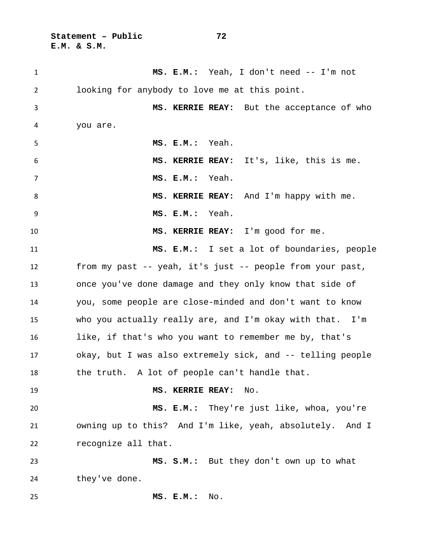**Statement – Public 72 E.M. & S.M.**

| $\mathbf{1}$   | MS. E.M.: Yeah, I don't need -- I'm not                    |
|----------------|------------------------------------------------------------|
| $\overline{2}$ | looking for anybody to love me at this point.              |
| 3              | MS. KERRIE REAY: But the acceptance of who                 |
| 4              | you are.                                                   |
| 5              | MS. E.M.: Yeah.                                            |
| 6              | MS. KERRIE REAY: It's, like, this is me.                   |
| $\overline{7}$ | MS. E.M.: Yeah.                                            |
| 8              | MS. KERRIE REAY: And I'm happy with me.                    |
| 9              | Yeah.<br>MS. E.M.:                                         |
| 10             | MS. KERRIE REAY: I'm good for me.                          |
| 11             | MS. E.M.: I set a lot of boundaries, people                |
| 12             | from my past -- yeah, it's just -- people from your past,  |
| 13             | once you've done damage and they only know that side of    |
| 14             | you, some people are close-minded and don't want to know   |
| 15             | who you actually really are, and I'm okay with that. I'm   |
| 16             | like, if that's who you want to remember me by, that's     |
| 17             | okay, but I was also extremely sick, and -- telling people |
| 18             | the truth. A lot of people can't handle that.              |
| 19             | MS. KERRIE REAY:<br>No.                                    |
| 20             | MS. E.M.: They're just like, whoa, you're                  |
| 21             | owning up to this? And I'm like, yeah, absolutely. And I   |
| 22             | recognize all that.                                        |
| 23             | MS. S.M.: But they don't own up to what                    |
| 24             | they've done.                                              |
| 25             | MS. E.M.:<br>No.                                           |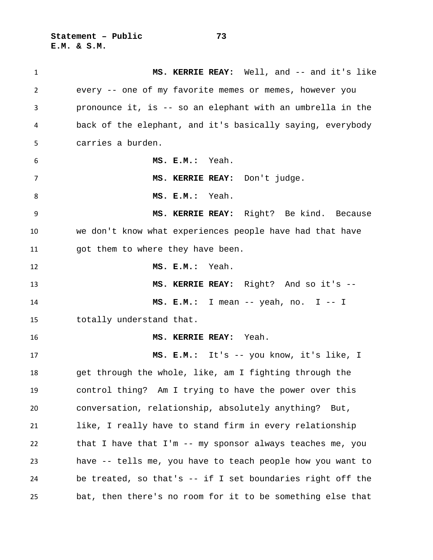**Statement – Public 73 E.M. & S.M.**

 **MS. KERRIE REAY:** Well, and -- and it's like every -- one of my favorite memes or memes, however you pronounce it, is -- so an elephant with an umbrella in the back of the elephant, and it's basically saying, everybody carries a burden. **MS. E.M.:** Yeah. **MS. KERRIE REAY:** Don't judge. **MS. E.M.:** Yeah. **MS. KERRIE REAY:** Right? Be kind. Because we don't know what experiences people have had that have got them to where they have been. **MS. E.M.:** Yeah. **MS. KERRIE REAY:** Right? And so it's -- **MS. E.M.:** I mean -- yeah, no. I -- I totally understand that. **MS. KERRIE REAY:** Yeah. **MS. E.M.:** It's -- you know, it's like, I get through the whole, like, am I fighting through the control thing? Am I trying to have the power over this conversation, relationship, absolutely anything? But, like, I really have to stand firm in every relationship that I have that I'm -- my sponsor always teaches me, you have -- tells me, you have to teach people how you want to be treated, so that's -- if I set boundaries right off the bat, then there's no room for it to be something else that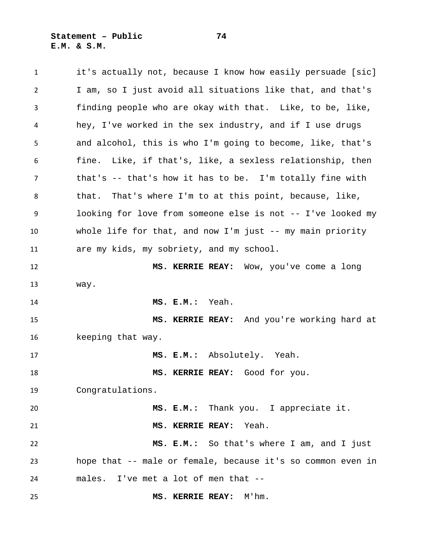**Statement – Public 74 E.M. & S.M.**

 it's actually not, because I know how easily persuade [sic] I am, so I just avoid all situations like that, and that's finding people who are okay with that. Like, to be, like, hey, I've worked in the sex industry, and if I use drugs and alcohol, this is who I'm going to become, like, that's fine. Like, if that's, like, a sexless relationship, then that's -- that's how it has to be. I'm totally fine with that. That's where I'm to at this point, because, like, looking for love from someone else is not -- I've looked my whole life for that, and now I'm just -- my main priority are my kids, my sobriety, and my school. **MS. KERRIE REAY:** Wow, you've come a long way. **MS. E.M.:** Yeah. **MS. KERRIE REAY:** And you're working hard at keeping that way. **MS. E.M.:** Absolutely. Yeah. **MS. KERRIE REAY:** Good for you. Congratulations. **MS. E.M.:** Thank you. I appreciate it. **MS. KERRIE REAY:** Yeah. **MS. E.M.:** So that's where I am, and I just hope that -- male or female, because it's so common even in males. I've met a lot of men that -- **MS. KERRIE REAY:** M'hm.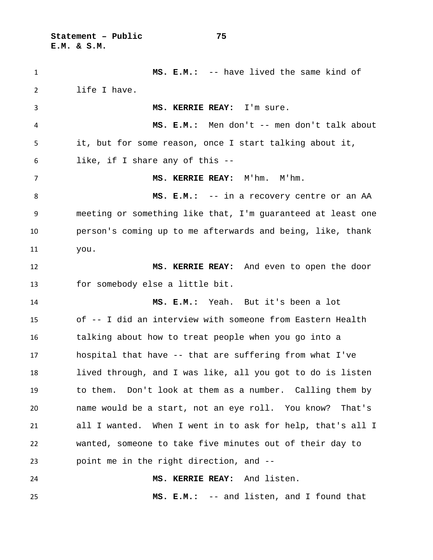**Statement – Public 75 E.M. & S.M.**

 **MS. E.M.:** -- have lived the same kind of life I have. **MS. KERRIE REAY:** I'm sure. **MS. E.M.:** Men don't -- men don't talk about it, but for some reason, once I start talking about it, like, if I share any of this -- **MS. KERRIE REAY:** M'hm. M'hm. 8 MS. E.M.: -- in a recovery centre or an AA meeting or something like that, I'm guaranteed at least one person's coming up to me afterwards and being, like, thank you. **MS. KERRIE REAY:** And even to open the door for somebody else a little bit. **MS. E.M.:** Yeah. But it's been a lot of -- I did an interview with someone from Eastern Health talking about how to treat people when you go into a hospital that have -- that are suffering from what I've lived through, and I was like, all you got to do is listen to them. Don't look at them as a number. Calling them by name would be a start, not an eye roll. You know? That's all I wanted. When I went in to ask for help, that's all I wanted, someone to take five minutes out of their day to point me in the right direction, and -- **MS. KERRIE REAY:** And listen. **MS. E.M.:** -- and listen, and I found that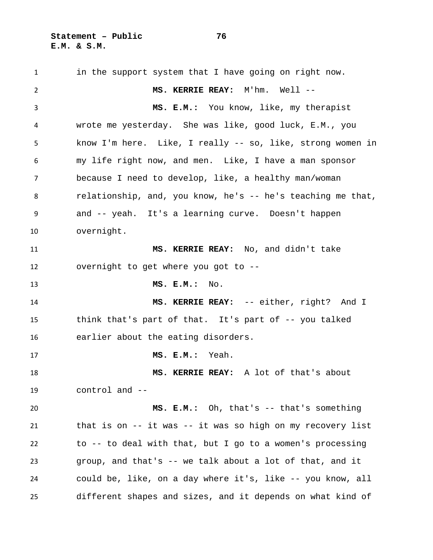in the support system that I have going on right now. **MS. KERRIE REAY:** M'hm. Well -- **MS. E.M.:** You know, like, my therapist wrote me yesterday. She was like, good luck, E.M., you know I'm here. Like, I really -- so, like, strong women in my life right now, and men. Like, I have a man sponsor because I need to develop, like, a healthy man/woman relationship, and, you know, he's -- he's teaching me that, and -- yeah. It's a learning curve. Doesn't happen overnight. **MS. KERRIE REAY:** No, and didn't take overnight to get where you got to -- **MS. E.M.:** No. **MS. KERRIE REAY:** -- either, right? And I think that's part of that. It's part of -- you talked earlier about the eating disorders. **MS. E.M.:** Yeah. **MS. KERRIE REAY:** A lot of that's about control and -- **MS. E.M.:** Oh, that's -- that's something that is on -- it was -- it was so high on my recovery list to -- to deal with that, but I go to a women's processing group, and that's -- we talk about a lot of that, and it could be, like, on a day where it's, like -- you know, all different shapes and sizes, and it depends on what kind of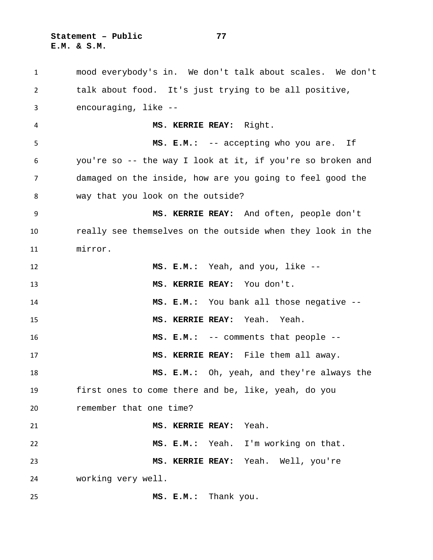**Statement – Public 77 E.M. & S.M.**

 mood everybody's in. We don't talk about scales. We don't talk about food. It's just trying to be all positive, encouraging, like -- **MS. KERRIE REAY:** Right. **MS. E.M.:** -- accepting who you are. If you're so -- the way I look at it, if you're so broken and damaged on the inside, how are you going to feel good the way that you look on the outside? **MS. KERRIE REAY:** And often, people don't really see themselves on the outside when they look in the mirror. **MS. E.M.:** Yeah, and you, like -- **MS. KERRIE REAY:** You don't. **MS. E.M.:** You bank all those negative -- **MS. KERRIE REAY:** Yeah. Yeah. **MS. E.M.:** -- comments that people -- **MS. KERRIE REAY:** File them all away. **MS. E.M.:** Oh, yeah, and they're always the first ones to come there and be, like, yeah, do you remember that one time? **MS. KERRIE REAY:** Yeah. **MS. E.M.:** Yeah. I'm working on that. **MS. KERRIE REAY:** Yeah. Well, you're working very well. **MS. E.M.:** Thank you.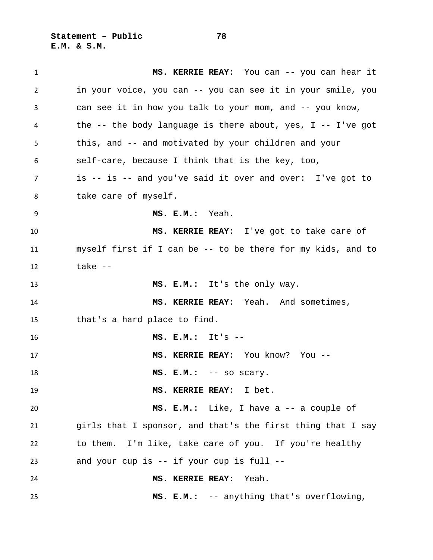**Statement – Public 78 E.M. & S.M.**

| 1  | MS. KERRIE REAY: You can -- you can hear it                   |
|----|---------------------------------------------------------------|
| 2  | in your voice, you can -- you can see it in your smile, you   |
| 3  | can see it in how you talk to your mom, and -- you know,      |
| 4  | the -- the body language is there about, yes, $I$ -- I've got |
| 5  | this, and -- and motivated by your children and your          |
| 6  | self-care, because I think that is the key, too,              |
| 7  | is -- is -- and you've said it over and over: I've got to     |
| 8  | take care of myself.                                          |
| 9  | MS. E.M.: Yeah.                                               |
| 10 | MS. KERRIE REAY: I've got to take care of                     |
| 11 | myself first if I can be -- to be there for my kids, and to   |
| 12 | take --                                                       |
| 13 | MS. E.M.: It's the only way.                                  |
| 14 | MS. KERRIE REAY: Yeah. And sometimes,                         |
| 15 | that's a hard place to find.                                  |
| 16 | $MS. E.M.: I+$ is --                                          |
| 17 | MS. KERRIE REAY: You know? You --                             |
| 18 | $MS. E.M.: --- SO SCary.$                                     |
| 19 | MS. KERRIE REAY: I bet.                                       |
| 20 | MS. E.M.: Like, I have a -- a couple of                       |
| 21 | girls that I sponsor, and that's the first thing that I say   |
| 22 | to them. I'm like, take care of you. If you're healthy        |
| 23 | and your cup is -- if your cup is full --                     |
| 24 | MS. KERRIE REAY:<br>Yeah.                                     |
| 25 | MS. E.M.: -- anything that's overflowing,                     |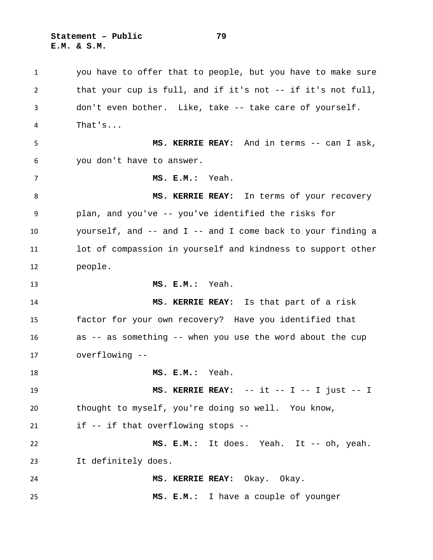**Statement – Public 79 E.M. & S.M.**

 you have to offer that to people, but you have to make sure that your cup is full, and if it's not -- if it's not full, don't even bother. Like, take -- take care of yourself. That's... **MS. KERRIE REAY:** And in terms -- can I ask, you don't have to answer. **MS. E.M.:** Yeah. **MS. KERRIE REAY:** In terms of your recovery plan, and you've -- you've identified the risks for yourself, and -- and I -- and I come back to your finding a lot of compassion in yourself and kindness to support other people. **MS. E.M.:** Yeah. **MS. KERRIE REAY:** Is that part of a risk factor for your own recovery? Have you identified that as -- as something -- when you use the word about the cup overflowing -- **MS. E.M.:** Yeah. **MS. KERRIE REAY:** -- it -- I -- I just -- I thought to myself, you're doing so well. You know, if -- if that overflowing stops -- **MS. E.M.:** It does. Yeah. It -- oh, yeah. It definitely does. **MS. KERRIE REAY:** Okay. Okay. **MS. E.M.:** I have a couple of younger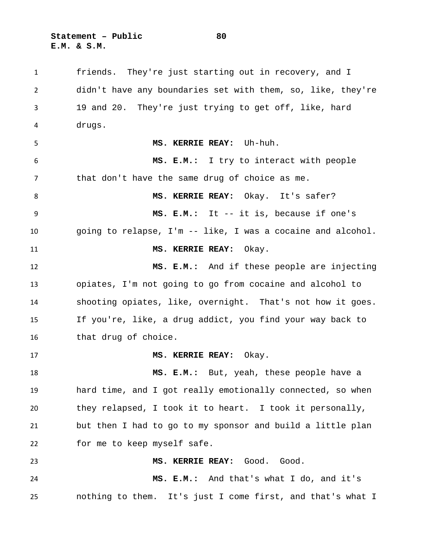**Statement – Public 80 E.M. & S.M.**

 friends. They're just starting out in recovery, and I didn't have any boundaries set with them, so, like, they're 19 and 20. They're just trying to get off, like, hard drugs. **MS. KERRIE REAY:** Uh-huh. **MS. E.M.:** I try to interact with people that don't have the same drug of choice as me. **MS. KERRIE REAY:** Okay. It's safer? **MS. E.M.:** It -- it is, because if one's going to relapse, I'm -- like, I was a cocaine and alcohol. **MS. KERRIE REAY:** Okay. **MS. E.M.:** And if these people are injecting opiates, I'm not going to go from cocaine and alcohol to shooting opiates, like, overnight. That's not how it goes. If you're, like, a drug addict, you find your way back to that drug of choice. **MS. KERRIE REAY:** Okay. **MS. E.M.:** But, yeah, these people have a hard time, and I got really emotionally connected, so when they relapsed, I took it to heart. I took it personally, but then I had to go to my sponsor and build a little plan for me to keep myself safe. **MS. KERRIE REAY:** Good. Good. **MS. E.M.:** And that's what I do, and it's nothing to them. It's just I come first, and that's what I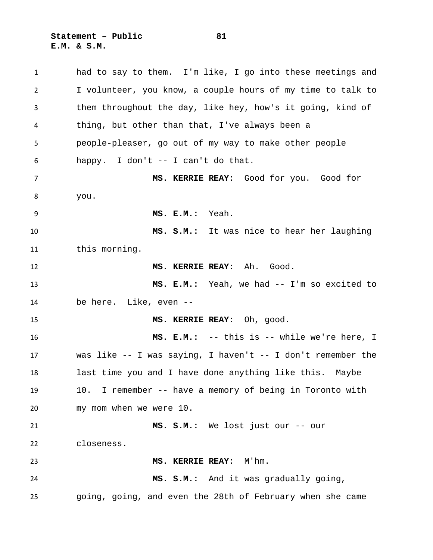**Statement – Public 81 E.M. & S.M.**

 had to say to them. I'm like, I go into these meetings and I volunteer, you know, a couple hours of my time to talk to them throughout the day, like hey, how's it going, kind of thing, but other than that, I've always been a people-pleaser, go out of my way to make other people happy. I don't -- I can't do that. **MS. KERRIE REAY:** Good for you. Good for you. **MS. E.M.:** Yeah. **MS. S.M.:** It was nice to hear her laughing this morning. **MS. KERRIE REAY:** Ah. Good. **MS. E.M.:** Yeah, we had -- I'm so excited to be here. Like, even -- **MS. KERRIE REAY:** Oh, good. **MS. E.M.:** -- this is -- while we're here, I was like -- I was saying, I haven't -- I don't remember the last time you and I have done anything like this. Maybe 10. I remember -- have a memory of being in Toronto with my mom when we were 10. **MS. S.M.:** We lost just our -- our closeness. **MS. KERRIE REAY:** M'hm. **MS. S.M.:** And it was gradually going, going, going, and even the 28th of February when she came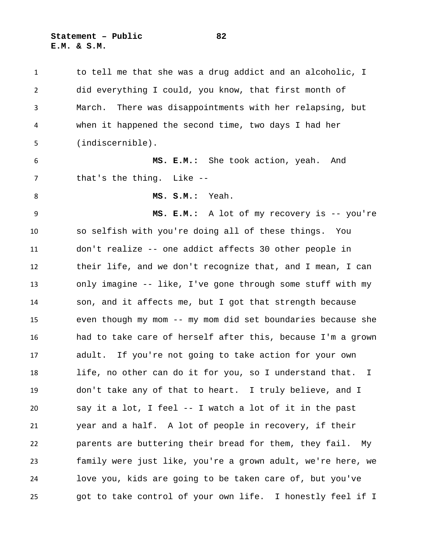**Statement – Public 82 E.M. & S.M.**

 to tell me that she was a drug addict and an alcoholic, I did everything I could, you know, that first month of March. There was disappointments with her relapsing, but when it happened the second time, two days I had her (indiscernible). **MS. E.M.:** She took action, yeah. And 7 that's the thing. Like -- **MS. S.M.:** Yeah. **MS. E.M.:** A lot of my recovery is -- you're so selfish with you're doing all of these things. You don't realize -- one addict affects 30 other people in their life, and we don't recognize that, and I mean, I can only imagine -- like, I've gone through some stuff with my son, and it affects me, but I got that strength because even though my mom -- my mom did set boundaries because she had to take care of herself after this, because I'm a grown adult. If you're not going to take action for your own life, no other can do it for you, so I understand that. I don't take any of that to heart. I truly believe, and I say it a lot, I feel -- I watch a lot of it in the past year and a half. A lot of people in recovery, if their parents are buttering their bread for them, they fail. My family were just like, you're a grown adult, we're here, we love you, kids are going to be taken care of, but you've got to take control of your own life. I honestly feel if I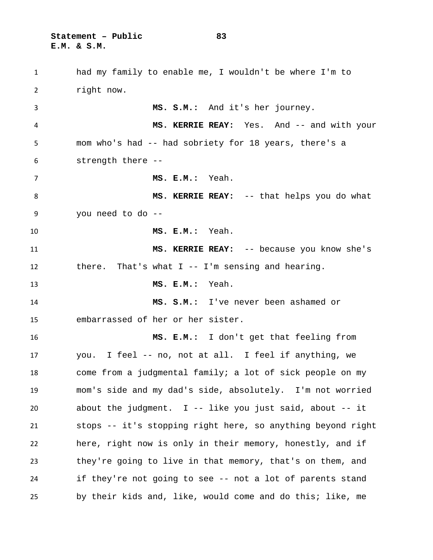**Statement – Public 83 E.M. & S.M.**

 had my family to enable me, I wouldn't be where I'm to right now. **MS. S.M.:** And it's her journey. **MS. KERRIE REAY:** Yes. And -- and with your mom who's had -- had sobriety for 18 years, there's a strength there -- **MS. E.M.:** Yeah. **MS. KERRIE REAY:** -- that helps you do what you need to do -- **MS. E.M.:** Yeah. **MS. KERRIE REAY:** -- because you know she's there. That's what I -- I'm sensing and hearing. **MS. E.M.:** Yeah. **MS. S.M.:** I've never been ashamed or embarrassed of her or her sister. **MS. E.M.:** I don't get that feeling from you. I feel -- no, not at all. I feel if anything, we come from a judgmental family; a lot of sick people on my mom's side and my dad's side, absolutely. I'm not worried about the judgment. I -- like you just said, about -- it stops -- it's stopping right here, so anything beyond right here, right now is only in their memory, honestly, and if they're going to live in that memory, that's on them, and if they're not going to see -- not a lot of parents stand by their kids and, like, would come and do this; like, me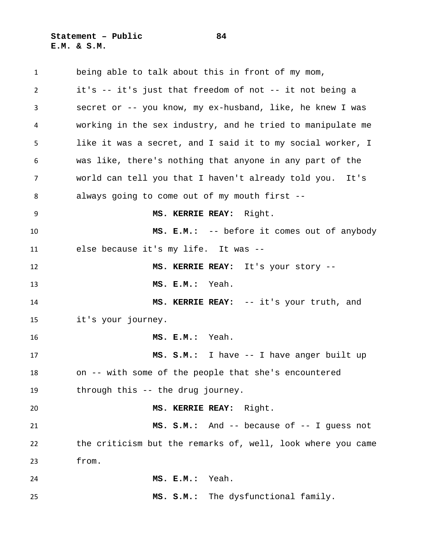**Statement – Public 84 E.M. & S.M.**

 being able to talk about this in front of my mom, it's -- it's just that freedom of not -- it not being a secret or -- you know, my ex-husband, like, he knew I was working in the sex industry, and he tried to manipulate me like it was a secret, and I said it to my social worker, I was like, there's nothing that anyone in any part of the world can tell you that I haven't already told you. It's always going to come out of my mouth first -- **MS. KERRIE REAY:** Right. **MS. E.M.:** -- before it comes out of anybody else because it's my life. It was -- **MS. KERRIE REAY:** It's your story -- **MS. E.M.:** Yeah. **MS. KERRIE REAY:** -- it's your truth, and it's your journey. **MS. E.M.:** Yeah. **MS. S.M.:** I have -- I have anger built up on -- with some of the people that she's encountered through this -- the drug journey. **MS. KERRIE REAY:** Right. **MS. S.M.:** And -- because of -- I guess not the criticism but the remarks of, well, look where you came from. **MS. E.M.:** Yeah. **MS. S.M.:** The dysfunctional family.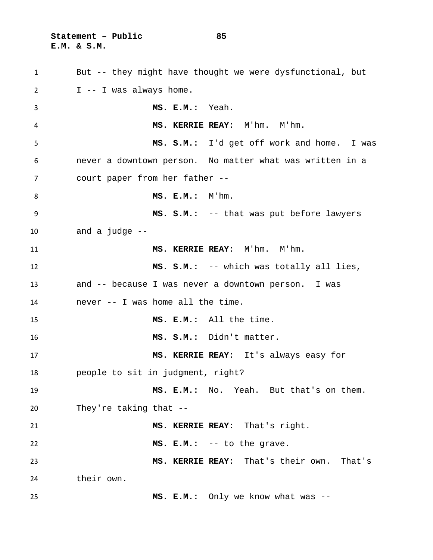**Statement – Public 85 E.M. & S.M.**

 But -- they might have thought we were dysfunctional, but I -- I was always home. **MS. E.M.:** Yeah. **MS. KERRIE REAY:** M'hm. M'hm. **MS. S.M.:** I'd get off work and home. I was never a downtown person. No matter what was written in a court paper from her father -- **MS. E.M.:** M'hm. **MS. S.M.:** -- that was put before lawyers and a judge -- **MS. KERRIE REAY:** M'hm. M'hm. **MS. S.M.:** -- which was totally all lies, and -- because I was never a downtown person. I was never -- I was home all the time. **MS. E.M.:** All the time. **MS. S.M.:** Didn't matter. **MS. KERRIE REAY:** It's always easy for people to sit in judgment, right? **MS. E.M.:** No. Yeah. But that's on them. They're taking that -- **MS. KERRIE REAY:** That's right. **MS. E.M.:** -- to the grave. **MS. KERRIE REAY:** That's their own. That's their own. **MS. E.M.:** Only we know what was --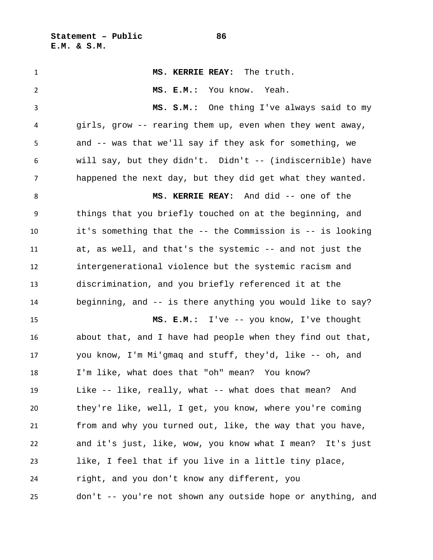**MS. KERRIE REAY:** The truth. **MS. E.M.:** You know. Yeah. **MS. S.M.:** One thing I've always said to my girls, grow -- rearing them up, even when they went away, and -- was that we'll say if they ask for something, we will say, but they didn't. Didn't -- (indiscernible) have happened the next day, but they did get what they wanted. **MS. KERRIE REAY:** And did -- one of the things that you briefly touched on at the beginning, and it's something that the -- the Commission is -- is looking at, as well, and that's the systemic -- and not just the intergenerational violence but the systemic racism and discrimination, and you briefly referenced it at the beginning, and -- is there anything you would like to say? **MS. E.M.:** I've -- you know, I've thought about that, and I have had people when they find out that, you know, I'm Mi'gmaq and stuff, they'd, like -- oh, and I'm like, what does that "oh" mean? You know? Like -- like, really, what -- what does that mean? And they're like, well, I get, you know, where you're coming from and why you turned out, like, the way that you have, and it's just, like, wow, you know what I mean? It's just like, I feel that if you live in a little tiny place, right, and you don't know any different, you don't -- you're not shown any outside hope or anything, and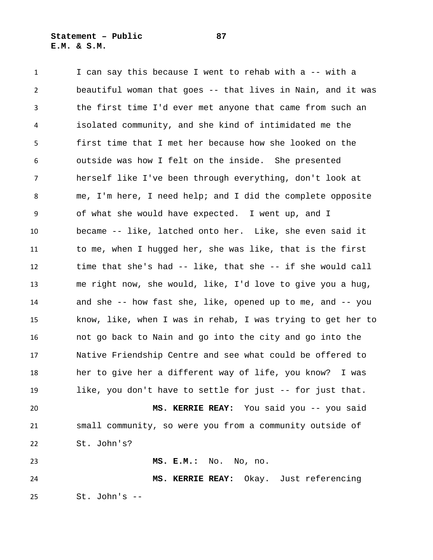**Statement – Public 87 E.M. & S.M.**

1 I can say this because I went to rehab with a -- with a beautiful woman that goes -- that lives in Nain, and it was the first time I'd ever met anyone that came from such an isolated community, and she kind of intimidated me the first time that I met her because how she looked on the outside was how I felt on the inside. She presented herself like I've been through everything, don't look at me, I'm here, I need help; and I did the complete opposite of what she would have expected. I went up, and I became -- like, latched onto her. Like, she even said it to me, when I hugged her, she was like, that is the first time that she's had -- like, that she -- if she would call me right now, she would, like, I'd love to give you a hug, and she -- how fast she, like, opened up to me, and -- you know, like, when I was in rehab, I was trying to get her to not go back to Nain and go into the city and go into the Native Friendship Centre and see what could be offered to her to give her a different way of life, you know? I was like, you don't have to settle for just -- for just that. **MS. KERRIE REAY:** You said you -- you said small community, so were you from a community outside of St. John's? **MS. E.M.:** No. No, no.

 **MS. KERRIE REAY:** Okay. Just referencing St. John's --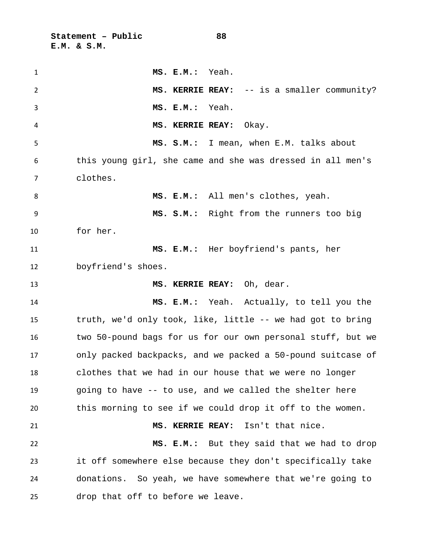**Statement – Public 88 E.M. & S.M.**

| $\mathbf{1}$ | MS. E.M.:<br>Yeah.                                          |
|--------------|-------------------------------------------------------------|
| 2            | MS. KERRIE REAY: -- is a smaller community?                 |
| 3            | MS. E.M.: Yeah.                                             |
| 4            | MS. KERRIE REAY:<br>Okay.                                   |
| 5            | MS. S.M.: I mean, when E.M. talks about                     |
| 6            | this young girl, she came and she was dressed in all men's  |
| 7            | clothes.                                                    |
| 8            | MS. E.M.: All men's clothes, yeah.                          |
| 9            | MS. S.M.: Right from the runners too big                    |
| 10           | for her.                                                    |
| 11           | MS. E.M.: Her boyfriend's pants, her                        |
| 12           | boyfriend's shoes.                                          |
| 13           | MS. KERRIE REAY: Oh, dear.                                  |
| 14           | MS. E.M.: Yeah. Actually, to tell you the                   |
| 15           | truth, we'd only took, like, little -- we had got to bring  |
| 16           | two 50-pound bags for us for our own personal stuff, but we |
| 17           | only packed backpacks, and we packed a 50-pound suitcase of |
| 18           | clothes that we had in our house that we were no longer     |
| 19           | going to have -- to use, and we called the shelter here     |
| 20           | this morning to see if we could drop it off to the women.   |
| 21           | Isn't that nice.<br><b>MS. KERRIE REAY:</b>                 |
| 22           | MS. E.M.: But they said that we had to drop                 |
| 23           | it off somewhere else because they don't specifically take  |
| 24           | donations. So yeah, we have somewhere that we're going to   |
| 25           | drop that off to before we leave.                           |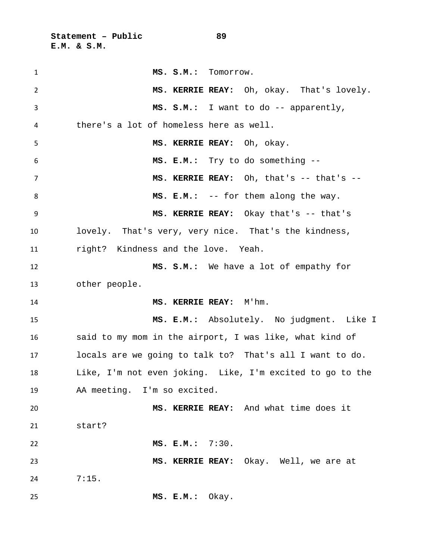**Statement – Public 89 E.M. & S.M.**

| $\mathbf{1}$ | MS. S.M.: Tomorrow.                                       |
|--------------|-----------------------------------------------------------|
| 2            | MS. KERRIE REAY: Oh, okay. That's lovely.                 |
| 3            | MS. S.M.: I want to do -- apparently,                     |
| 4            | there's a lot of homeless here as well.                   |
| 5            | MS. KERRIE REAY: Oh, okay.                                |
| 6            | MS. E.M.: Try to do something --                          |
| 7            | MS. KERRIE REAY: Oh, that's -- that's --                  |
| 8            | MS. E.M.: -- for them along the way.                      |
| 9            | MS. KERRIE REAY: Okay that's -- that's                    |
| 10           | lovely. That's very, very nice. That's the kindness,      |
| 11           | right? Kindness and the love. Yeah.                       |
| 12           | MS. S.M.: We have a lot of empathy for                    |
| 13           | other people.                                             |
| 14           | MS. KERRIE REAY: M'hm.                                    |
| 15           | MS. E.M.: Absolutely. No judgment. Like I                 |
| 16           | said to my mom in the airport, I was like, what kind of   |
| 17           | locals are we going to talk to? That's all I want to do.  |
| 18           | Like, I'm not even joking. Like, I'm excited to go to the |
| 19           | AA meeting. I'm so excited.                               |
| 20           | MS. KERRIE REAY: And what time does it                    |
| 21           | start?                                                    |
| 22           | MS. E.M.: 7:30.                                           |
| 23           | MS. KERRIE REAY: Okay. Well, we are at                    |
| 24           | 7:15.                                                     |
| 25           | Okay.<br>MS. E.M.:                                        |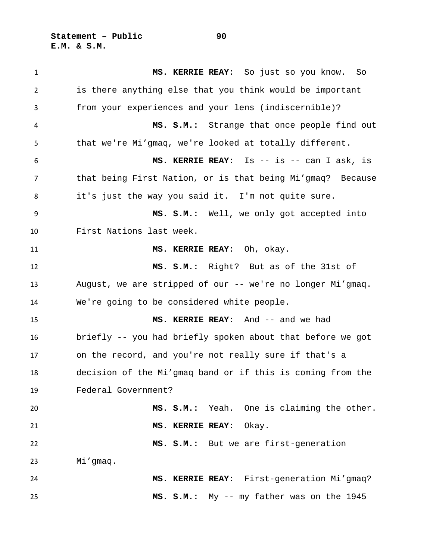**Statement – Public 90 E.M. & S.M.**

 **MS. KERRIE REAY:** So just so you know. So is there anything else that you think would be important from your experiences and your lens (indiscernible)? **MS. S.M.:** Strange that once people find out that we're Mi'gmaq, we're looked at totally different. **MS. KERRIE REAY:** Is -- is -- can I ask, is that being First Nation, or is that being Mi'gmaq? Because it's just the way you said it. I'm not quite sure. **MS. S.M.:** Well, we only got accepted into First Nations last week. **MS. KERRIE REAY:** Oh, okay. **MS. S.M.:** Right? But as of the 31st of August, we are stripped of our -- we're no longer Mi'gmaq. We're going to be considered white people. **MS. KERRIE REAY:** And -- and we had briefly -- you had briefly spoken about that before we got on the record, and you're not really sure if that's a decision of the Mi'gmaq band or if this is coming from the Federal Government? **MS. S.M.:** Yeah. One is claiming the other. **MS. KERRIE REAY:** Okay. **MS. S.M.:** But we are first-generation Mi'gmaq. **MS. KERRIE REAY:** First-generation Mi'gmaq? **MS. S.M.:** My -- my father was on the 1945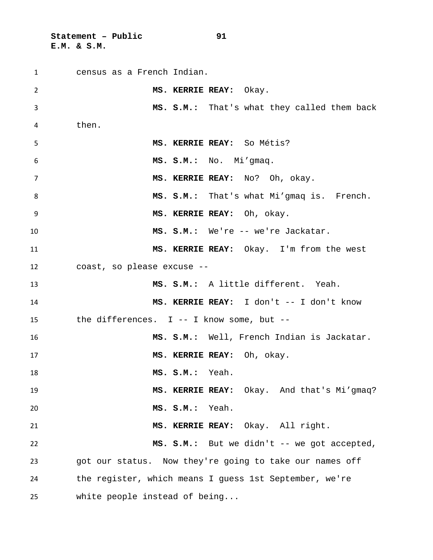**Statement – Public 91 E.M. & S.M.**

 census as a French Indian. **MS. KERRIE REAY:** Okay. **MS. S.M.:** That's what they called them back then. **MS. KERRIE REAY:** So Métis? **MS. S.M.:** No. Mi'gmaq. **MS. KERRIE REAY:** No? Oh, okay. **MS. S.M.:** That's what Mi'gmaq is. French. **MS. KERRIE REAY:** Oh, okay. **MS. S.M.:** We're -- we're Jackatar. **MS. KERRIE REAY:** Okay. I'm from the west coast, so please excuse -- **MS. S.M.:** A little different. Yeah. **MS. KERRIE REAY:** I don't -- I don't know the differences. I -- I know some, but -- **MS. S.M.:** Well, French Indian is Jackatar. **MS. KERRIE REAY:** Oh, okay. **MS. S.M.:** Yeah. **MS. KERRIE REAY:** Okay. And that's Mi'gmaq? **MS. S.M.:** Yeah. **MS. KERRIE REAY:** Okay. All right. **MS. S.M.:** But we didn't -- we got accepted, got our status. Now they're going to take our names off the register, which means I guess 1st September, we're white people instead of being...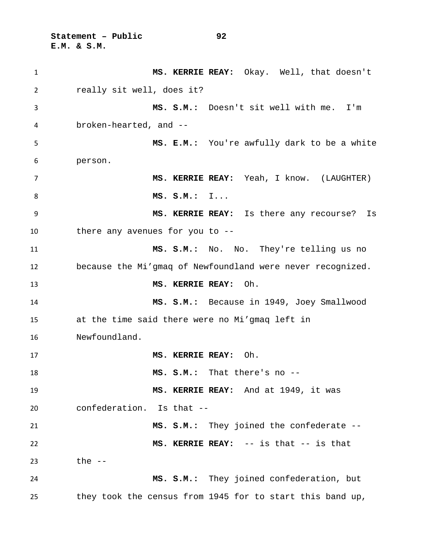**Statement – Public 92 E.M. & S.M.**

 **MS. KERRIE REAY:** Okay. Well, that doesn't really sit well, does it? **MS. S.M.:** Doesn't sit well with me. I'm broken-hearted, and -- **MS. E.M.:** You're awfully dark to be a white person. **MS. KERRIE REAY:** Yeah, I know. (LAUGHTER) **MS. S.M.:** I... **MS. KERRIE REAY:** Is there any recourse? Is there any avenues for you to -- **MS. S.M.:** No. No. They're telling us no because the Mi'gmaq of Newfoundland were never recognized. **MS. KERRIE REAY:** Oh. **MS. S.M.:** Because in 1949, Joey Smallwood at the time said there were no Mi'gmaq left in Newfoundland. **MS. KERRIE REAY:** Oh. **MS. S.M.:** That there's no -- **MS. KERRIE REAY:** And at 1949, it was confederation. Is that -- **MS. S.M.:** They joined the confederate -- **MS. KERRIE REAY:** -- is that -- is that the -- **MS. S.M.:** They joined confederation, but they took the census from 1945 for to start this band up,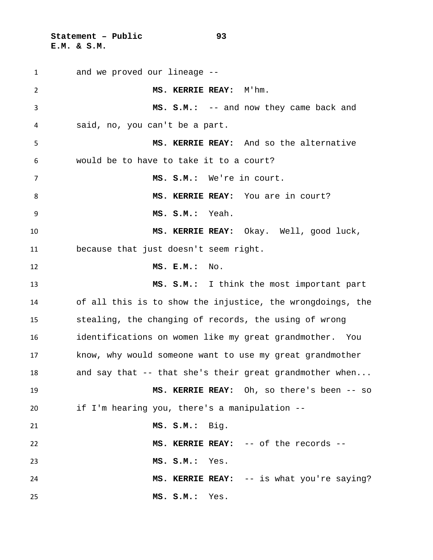**Statement – Public 93 E.M. & S.M.**

 and we proved our lineage -- **MS. KERRIE REAY:** M'hm. **MS. S.M.:** -- and now they came back and said, no, you can't be a part. **MS. KERRIE REAY:** And so the alternative would be to have to take it to a court? **MS. S.M.:** We're in court. 8 MS. KERRIE REAY: You are in court? **MS. S.M.:** Yeah. **MS. KERRIE REAY:** Okay. Well, good luck, because that just doesn't seem right. **MS. E.M.:** No. **MS. S.M.:** I think the most important part of all this is to show the injustice, the wrongdoings, the stealing, the changing of records, the using of wrong identifications on women like my great grandmother. You know, why would someone want to use my great grandmother 18 and say that -- that she's their great grandmother when... **MS. KERRIE REAY:** Oh, so there's been -- so if I'm hearing you, there's a manipulation -- **MS. S.M.:** Big. **MS. KERRIE REAY:** -- of the records -- **MS. S.M.:** Yes. **MS. KERRIE REAY:** -- is what you're saying? **MS. S.M.:** Yes.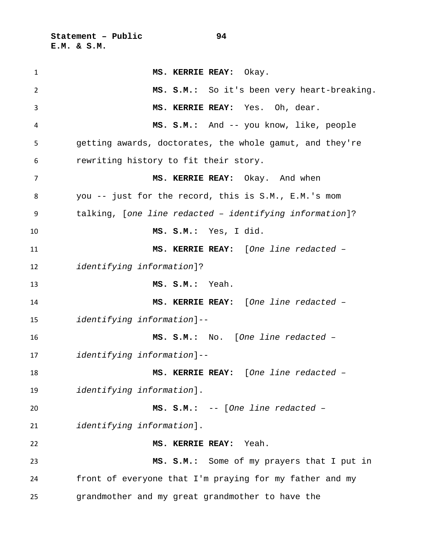**Statement – Public 94 E.M. & S.M.**

 **MS. KERRIE REAY:** Okay. **MS. S.M.:** So it's been very heart-breaking. **MS. KERRIE REAY:** Yes. Oh, dear. **MS. S.M.:** And -- you know, like, people getting awards, doctorates, the whole gamut, and they're rewriting history to fit their story. **MS. KERRIE REAY:** Okay. And when you -- just for the record, this is S.M., E.M.'s mom talking, [*one line redacted – identifying information*]? **MS. S.M.:** Yes, I did. **MS. KERRIE REAY:** [*One line redacted – identifying information*]? **MS. S.M.:** Yeah. **MS. KERRIE REAY:** [*One line redacted – identifying information*]-- **MS. S.M.:** No. [*One line redacted – identifying information*]-- **MS. KERRIE REAY:** [*One line redacted – identifying information*]. **MS. S.M.:** -- [*One line redacted – identifying information*]. **MS. KERRIE REAY:** Yeah. **MS. S.M.:** Some of my prayers that I put in front of everyone that I'm praying for my father and my grandmother and my great grandmother to have the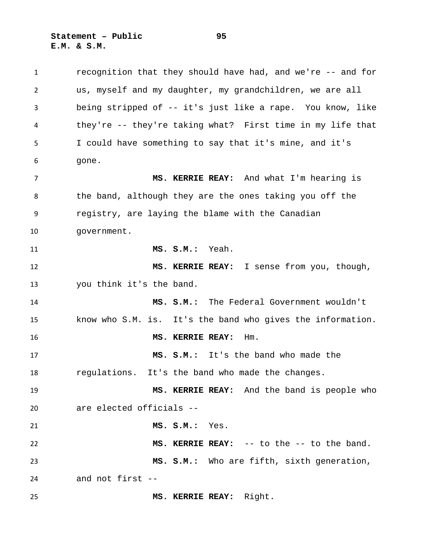**Statement – Public 95 E.M. & S.M.**

 recognition that they should have had, and we're -- and for us, myself and my daughter, my grandchildren, we are all being stripped of -- it's just like a rape. You know, like they're -- they're taking what? First time in my life that I could have something to say that it's mine, and it's gone. **MS. KERRIE REAY:** And what I'm hearing is the band, although they are the ones taking you off the registry, are laying the blame with the Canadian government. **MS. S.M.:** Yeah. **MS. KERRIE REAY:** I sense from you, though, you think it's the band. **MS. S.M.:** The Federal Government wouldn't know who S.M. is. It's the band who gives the information. **MS. KERRIE REAY:** Hm. **MS. S.M.:** It's the band who made the regulations. It's the band who made the changes. **MS. KERRIE REAY:** And the band is people who are elected officials -- **MS. S.M.:** Yes. **MS. KERRIE REAY:** -- to the -- to the band. **MS. S.M.:** Who are fifth, sixth generation, and not first -- **MS. KERRIE REAY:** Right.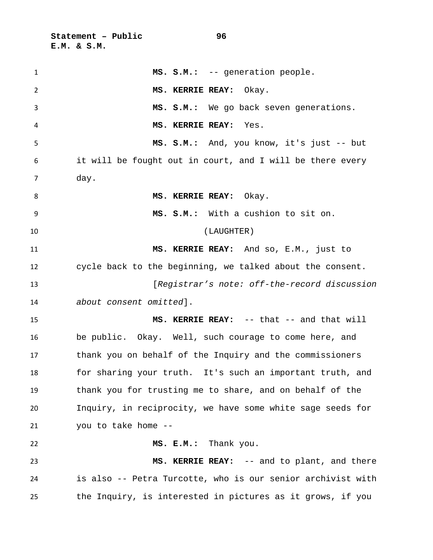**Statement – Public 96 E.M. & S.M.**

| $\mathbf{1}$ | MS. S.M.: -- generation people.                             |
|--------------|-------------------------------------------------------------|
| 2            | MS. KERRIE REAY: Okay.                                      |
| 3            | MS. S.M.: We go back seven generations.                     |
| 4            | MS. KERRIE REAY: Yes.                                       |
| 5            | MS. S.M.: And, you know, it's just -- but                   |
| 6            | it will be fought out in court, and I will be there every   |
| 7            | day.                                                        |
| 8            | MS. KERRIE REAY: Okay.                                      |
| 9            | MS. S.M.: With a cushion to sit on.                         |
| 10           | (LAUGHTER)                                                  |
| 11           | MS. KERRIE REAY: And so, E.M., just to                      |
| 12           | cycle back to the beginning, we talked about the consent.   |
| 13           | [Registrar's note: off-the-record discussion                |
| 14           | about consent omitted].                                     |
| 15           | MS. KERRIE REAY: -- that -- and that will                   |
| 16           | be public. Okay. Well, such courage to come here, and       |
| 17           | thank you on behalf of the Inquiry and the commissioners    |
| 18           | for sharing your truth. It's such an important truth, and   |
| 19           | thank you for trusting me to share, and on behalf of the    |
| 20           | Inquiry, in reciprocity, we have some white sage seeds for  |
| 21           | you to take home --                                         |
| 22           | MS. E.M.: Thank you.                                        |
| 23           | MS. KERRIE REAY: -- and to plant, and there                 |
| 24           | is also -- Petra Turcotte, who is our senior archivist with |
| 25           | the Inquiry, is interested in pictures as it grows, if you  |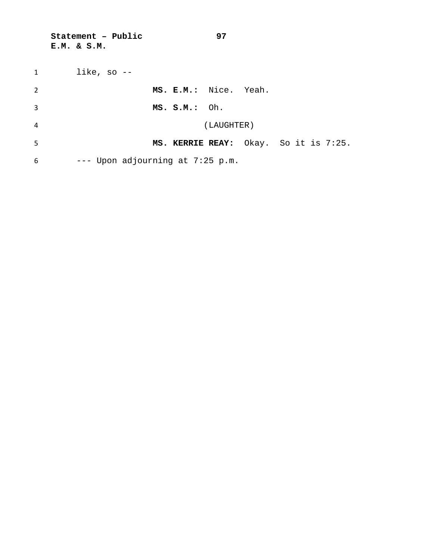**Statement – Public 97 E.M. & S.M.**

| 1              | like, so $-$                          |
|----------------|---------------------------------------|
| $\overline{2}$ | MS. E.M.: Nice. Yeah.                 |
| 3              | MS. S.M.: Oh.                         |
| 4              | (LAUGHTER)                            |
| 5              | MS. KERRIE REAY: Okay. So it is 7:25. |
| 6              | $---$ Upon adjourning at 7:25 p.m.    |